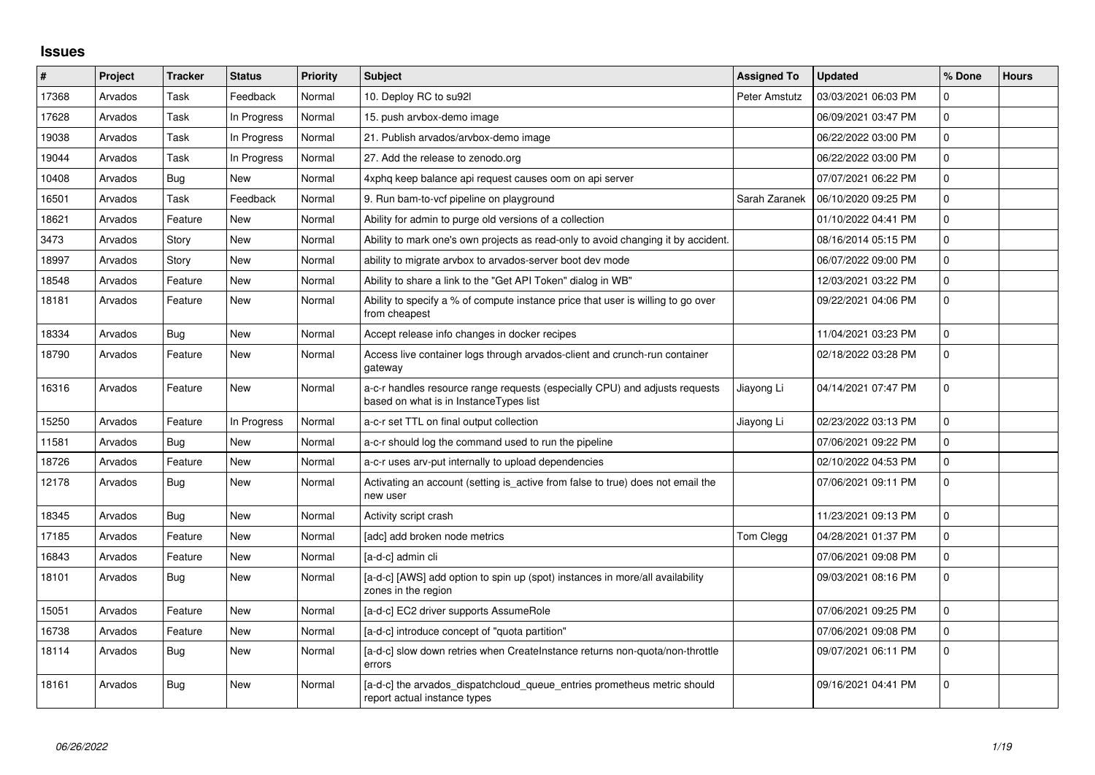## **Issues**

| $\sharp$ | Project | <b>Tracker</b> | <b>Status</b> | <b>Priority</b> | <b>Subject</b>                                                                                                        | <b>Assigned To</b> | <b>Updated</b>      | % Done      | <b>Hours</b> |
|----------|---------|----------------|---------------|-----------------|-----------------------------------------------------------------------------------------------------------------------|--------------------|---------------------|-------------|--------------|
| 17368    | Arvados | Task           | Feedback      | Normal          | 10. Deploy RC to su92l                                                                                                | Peter Amstutz      | 03/03/2021 06:03 PM | $\Omega$    |              |
| 17628    | Arvados | Task           | In Progress   | Normal          | 15. push arvbox-demo image                                                                                            |                    | 06/09/2021 03:47 PM | $\mathbf 0$ |              |
| 19038    | Arvados | Task           | In Progress   | Normal          | 21. Publish arvados/arvbox-demo image                                                                                 |                    | 06/22/2022 03:00 PM | $\mathbf 0$ |              |
| 19044    | Arvados | Task           | In Progress   | Normal          | 27. Add the release to zenodo.org                                                                                     |                    | 06/22/2022 03:00 PM | $\Omega$    |              |
| 10408    | Arvados | <b>Bug</b>     | <b>New</b>    | Normal          | 4xphq keep balance api request causes oom on api server                                                               |                    | 07/07/2021 06:22 PM | $\mathbf 0$ |              |
| 16501    | Arvados | Task           | Feedback      | Normal          | 9. Run bam-to-vcf pipeline on playground                                                                              | Sarah Zaranek      | 06/10/2020 09:25 PM | 0           |              |
| 18621    | Arvados | Feature        | New           | Normal          | Ability for admin to purge old versions of a collection                                                               |                    | 01/10/2022 04:41 PM | $\Omega$    |              |
| 3473     | Arvados | Story          | <b>New</b>    | Normal          | Ability to mark one's own projects as read-only to avoid changing it by accident.                                     |                    | 08/16/2014 05:15 PM | $\mathbf 0$ |              |
| 18997    | Arvados | Story          | <b>New</b>    | Normal          | ability to migrate arvbox to arvados-server boot dev mode                                                             |                    | 06/07/2022 09:00 PM | $\mathbf 0$ |              |
| 18548    | Arvados | Feature        | <b>New</b>    | Normal          | Ability to share a link to the "Get API Token" dialog in WB"                                                          |                    | 12/03/2021 03:22 PM | 0           |              |
| 18181    | Arvados | Feature        | New           | Normal          | Ability to specify a % of compute instance price that user is willing to go over<br>from cheapest                     |                    | 09/22/2021 04:06 PM | $\mathbf 0$ |              |
| 18334    | Arvados | Bug            | <b>New</b>    | Normal          | Accept release info changes in docker recipes                                                                         |                    | 11/04/2021 03:23 PM | $\mathbf 0$ |              |
| 18790    | Arvados | Feature        | New           | Normal          | Access live container logs through arvados-client and crunch-run container<br>gateway                                 |                    | 02/18/2022 03:28 PM | $\mathbf 0$ |              |
| 16316    | Arvados | Feature        | <b>New</b>    | Normal          | a-c-r handles resource range requests (especially CPU) and adjusts requests<br>based on what is in InstanceTypes list | Jiayong Li         | 04/14/2021 07:47 PM | 0           |              |
| 15250    | Arvados | Feature        | In Progress   | Normal          | a-c-r set TTL on final output collection                                                                              | Jiayong Li         | 02/23/2022 03:13 PM | 0           |              |
| 11581    | Arvados | <b>Bug</b>     | <b>New</b>    | Normal          | a-c-r should log the command used to run the pipeline                                                                 |                    | 07/06/2021 09:22 PM | 0           |              |
| 18726    | Arvados | Feature        | <b>New</b>    | Normal          | a-c-r uses arv-put internally to upload dependencies                                                                  |                    | 02/10/2022 04:53 PM | 0           |              |
| 12178    | Arvados | Bug            | New           | Normal          | Activating an account (setting is active from false to true) does not email the<br>new user                           |                    | 07/06/2021 09:11 PM | $\Omega$    |              |
| 18345    | Arvados | Bug            | <b>New</b>    | Normal          | Activity script crash                                                                                                 |                    | 11/23/2021 09:13 PM | $\mathbf 0$ |              |
| 17185    | Arvados | Feature        | <b>New</b>    | Normal          | [adc] add broken node metrics                                                                                         | Tom Clegg          | 04/28/2021 01:37 PM | 0           |              |
| 16843    | Arvados | Feature        | <b>New</b>    | Normal          | [a-d-c] admin cli                                                                                                     |                    | 07/06/2021 09:08 PM | $\mathbf 0$ |              |
| 18101    | Arvados | Bug            | New           | Normal          | [a-d-c] [AWS] add option to spin up (spot) instances in more/all availability<br>zones in the region                  |                    | 09/03/2021 08:16 PM | 0           |              |
| 15051    | Arvados | Feature        | <b>New</b>    | Normal          | [a-d-c] EC2 driver supports AssumeRole                                                                                |                    | 07/06/2021 09:25 PM | $\Omega$    |              |
| 16738    | Arvados | Feature        | <b>New</b>    | Normal          | [a-d-c] introduce concept of "quota partition"                                                                        |                    | 07/06/2021 09:08 PM | $\mathbf 0$ |              |
| 18114    | Arvados | <b>Bug</b>     | New           | Normal          | [a-d-c] slow down retries when CreateInstance returns non-quota/non-throttle<br>errors                                |                    | 09/07/2021 06:11 PM | $\mathbf 0$ |              |
| 18161    | Arvados | <b>Bug</b>     | <b>New</b>    | Normal          | [a-d-c] the arvados_dispatchcloud_queue_entries prometheus metric should<br>report actual instance types              |                    | 09/16/2021 04:41 PM | 0           |              |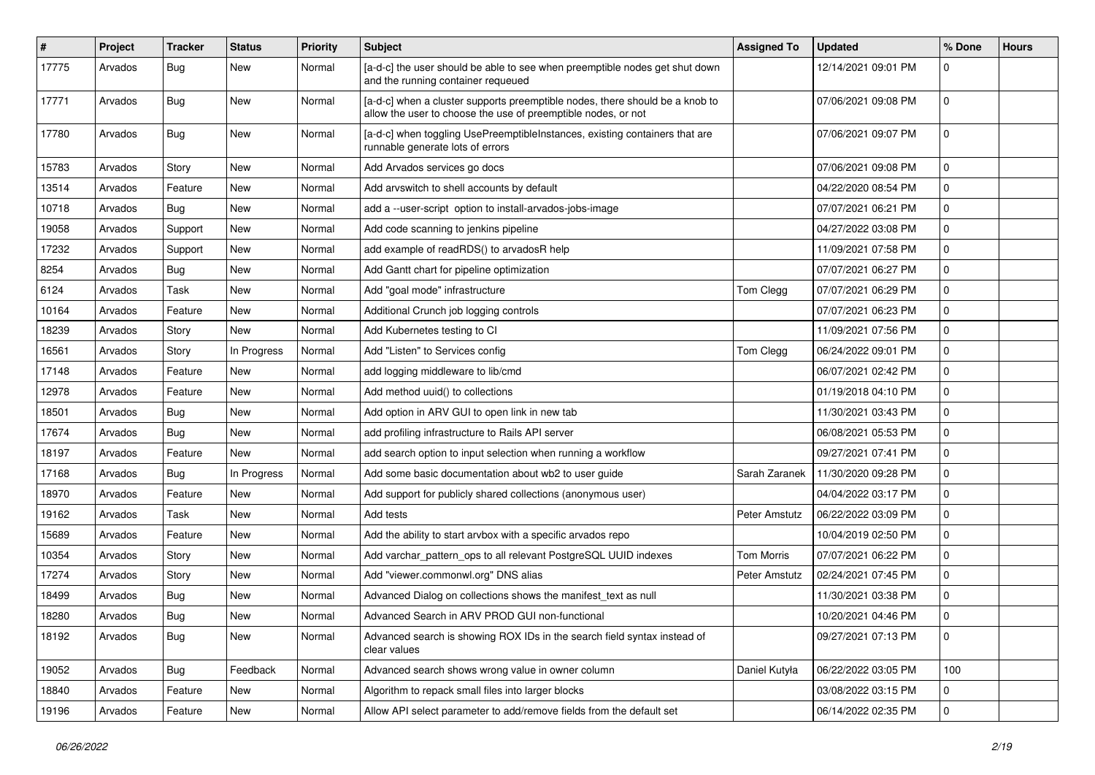| $\pmb{\#}$ | Project | <b>Tracker</b> | <b>Status</b> | <b>Priority</b> | Subject                                                                                                                                       | <b>Assigned To</b> | <b>Updated</b>      | % Done      | <b>Hours</b> |
|------------|---------|----------------|---------------|-----------------|-----------------------------------------------------------------------------------------------------------------------------------------------|--------------------|---------------------|-------------|--------------|
| 17775      | Arvados | <b>Bug</b>     | New           | Normal          | [a-d-c] the user should be able to see when preemptible nodes get shut down<br>and the running container requeued                             |                    | 12/14/2021 09:01 PM | 0           |              |
| 17771      | Arvados | Bug            | New           | Normal          | [a-d-c] when a cluster supports preemptible nodes, there should be a knob to<br>allow the user to choose the use of preemptible nodes, or not |                    | 07/06/2021 09:08 PM | $\mathbf 0$ |              |
| 17780      | Arvados | Bug            | New           | Normal          | [a-d-c] when toggling UsePreemptibleInstances, existing containers that are<br>runnable generate lots of errors                               |                    | 07/06/2021 09:07 PM | 0           |              |
| 15783      | Arvados | Story          | New           | Normal          | Add Arvados services go docs                                                                                                                  |                    | 07/06/2021 09:08 PM | $\mathbf 0$ |              |
| 13514      | Arvados | Feature        | New           | Normal          | Add arvswitch to shell accounts by default                                                                                                    |                    | 04/22/2020 08:54 PM | 0           |              |
| 10718      | Arvados | Bug            | New           | Normal          | add a --user-script option to install-arvados-jobs-image                                                                                      |                    | 07/07/2021 06:21 PM | $\mathbf 0$ |              |
| 19058      | Arvados | Support        | New           | Normal          | Add code scanning to jenkins pipeline                                                                                                         |                    | 04/27/2022 03:08 PM | $\mathbf 0$ |              |
| 17232      | Arvados | Support        | New           | Normal          | add example of readRDS() to arvadosR help                                                                                                     |                    | 11/09/2021 07:58 PM | $\mathbf 0$ |              |
| 8254       | Arvados | Bug            | New           | Normal          | Add Gantt chart for pipeline optimization                                                                                                     |                    | 07/07/2021 06:27 PM | $\mathbf 0$ |              |
| 6124       | Arvados | Task           | New           | Normal          | Add "goal mode" infrastructure                                                                                                                | Tom Clegg          | 07/07/2021 06:29 PM | $\mathbf 0$ |              |
| 10164      | Arvados | Feature        | New           | Normal          | Additional Crunch job logging controls                                                                                                        |                    | 07/07/2021 06:23 PM | $\mathbf 0$ |              |
| 18239      | Arvados | Story          | New           | Normal          | Add Kubernetes testing to CI                                                                                                                  |                    | 11/09/2021 07:56 PM | $\mathbf 0$ |              |
| 16561      | Arvados | Story          | In Progress   | Normal          | Add "Listen" to Services config                                                                                                               | Tom Clegg          | 06/24/2022 09:01 PM | $\mathbf 0$ |              |
| 17148      | Arvados | Feature        | New           | Normal          | add logging middleware to lib/cmd                                                                                                             |                    | 06/07/2021 02:42 PM | $\mathbf 0$ |              |
| 12978      | Arvados | Feature        | New           | Normal          | Add method uuid() to collections                                                                                                              |                    | 01/19/2018 04:10 PM | $\mathbf 0$ |              |
| 18501      | Arvados | Bug            | New           | Normal          | Add option in ARV GUI to open link in new tab                                                                                                 |                    | 11/30/2021 03:43 PM | $\mathbf 0$ |              |
| 17674      | Arvados | <b>Bug</b>     | New           | Normal          | add profiling infrastructure to Rails API server                                                                                              |                    | 06/08/2021 05:53 PM | $\mathbf 0$ |              |
| 18197      | Arvados | Feature        | New           | Normal          | add search option to input selection when running a workflow                                                                                  |                    | 09/27/2021 07:41 PM | $\mathbf 0$ |              |
| 17168      | Arvados | <b>Bug</b>     | In Progress   | Normal          | Add some basic documentation about wb2 to user guide                                                                                          | Sarah Zaranek      | 11/30/2020 09:28 PM | $\mathbf 0$ |              |
| 18970      | Arvados | Feature        | New           | Normal          | Add support for publicly shared collections (anonymous user)                                                                                  |                    | 04/04/2022 03:17 PM | $\mathbf 0$ |              |
| 19162      | Arvados | Task           | New           | Normal          | Add tests                                                                                                                                     | Peter Amstutz      | 06/22/2022 03:09 PM | $\mathbf 0$ |              |
| 15689      | Arvados | Feature        | New           | Normal          | Add the ability to start arvbox with a specific arvados repo                                                                                  |                    | 10/04/2019 02:50 PM | $\mathbf 0$ |              |
| 10354      | Arvados | Story          | New           | Normal          | Add varchar_pattern_ops to all relevant PostgreSQL UUID indexes                                                                               | <b>Tom Morris</b>  | 07/07/2021 06:22 PM | 0           |              |
| 17274      | Arvados | Story          | New           | Normal          | Add "viewer.commonwl.org" DNS alias                                                                                                           | Peter Amstutz      | 02/24/2021 07:45 PM | $\Omega$    |              |
| 18499      | Arvados | Bug            | New           | Normal          | Advanced Dialog on collections shows the manifest_text as null                                                                                |                    | 11/30/2021 03:38 PM | $\mathbf 0$ |              |
| 18280      | Arvados | Bug            | New           | Normal          | Advanced Search in ARV PROD GUI non-functional                                                                                                |                    | 10/20/2021 04:46 PM | 0           |              |
| 18192      | Arvados | <b>Bug</b>     | New           | Normal          | Advanced search is showing ROX IDs in the search field syntax instead of<br>clear values                                                      |                    | 09/27/2021 07:13 PM | 0           |              |
| 19052      | Arvados | <b>Bug</b>     | Feedback      | Normal          | Advanced search shows wrong value in owner column                                                                                             | Daniel Kutyła      | 06/22/2022 03:05 PM | 100         |              |
| 18840      | Arvados | Feature        | New           | Normal          | Algorithm to repack small files into larger blocks                                                                                            |                    | 03/08/2022 03:15 PM | $\mathbf 0$ |              |
| 19196      | Arvados | Feature        | New           | Normal          | Allow API select parameter to add/remove fields from the default set                                                                          |                    | 06/14/2022 02:35 PM | 0           |              |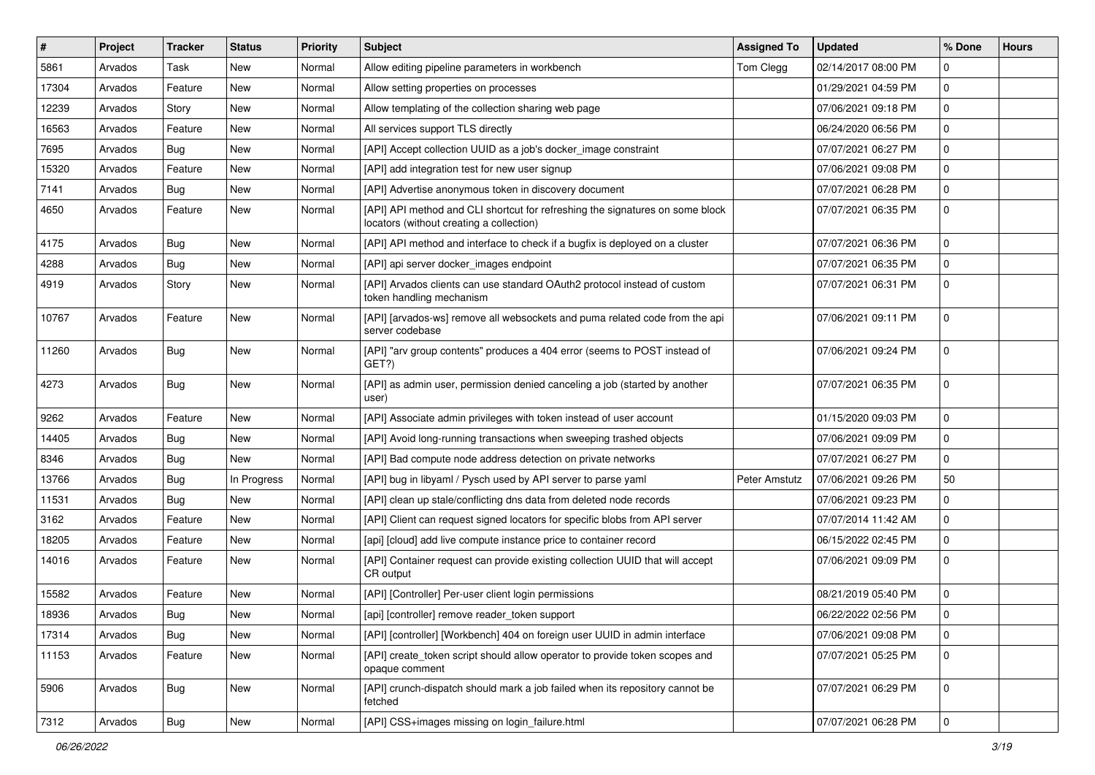| #     | <b>Project</b> | <b>Tracker</b> | <b>Status</b> | <b>Priority</b> | <b>Subject</b>                                                                                                            | <b>Assigned To</b> | <b>Updated</b>      | % Done      | <b>Hours</b> |
|-------|----------------|----------------|---------------|-----------------|---------------------------------------------------------------------------------------------------------------------------|--------------------|---------------------|-------------|--------------|
| 5861  | Arvados        | Task           | New           | Normal          | Allow editing pipeline parameters in workbench                                                                            | Tom Clegg          | 02/14/2017 08:00 PM | $\Omega$    |              |
| 17304 | Arvados        | Feature        | New           | Normal          | Allow setting properties on processes                                                                                     |                    | 01/29/2021 04:59 PM | $\mathbf 0$ |              |
| 12239 | Arvados        | Story          | New           | Normal          | Allow templating of the collection sharing web page                                                                       |                    | 07/06/2021 09:18 PM | $\mathbf 0$ |              |
| 16563 | Arvados        | Feature        | New           | Normal          | All services support TLS directly                                                                                         |                    | 06/24/2020 06:56 PM | $\mathbf 0$ |              |
| 7695  | Arvados        | Bug            | New           | Normal          | [API] Accept collection UUID as a job's docker_image constraint                                                           |                    | 07/07/2021 06:27 PM | $\mathbf 0$ |              |
| 15320 | Arvados        | Feature        | New           | Normal          | [API] add integration test for new user signup                                                                            |                    | 07/06/2021 09:08 PM | $\mathbf 0$ |              |
| 7141  | Arvados        | <b>Bug</b>     | New           | Normal          | [API] Advertise anonymous token in discovery document                                                                     |                    | 07/07/2021 06:28 PM | $\mathbf 0$ |              |
| 4650  | Arvados        | Feature        | New           | Normal          | [API] API method and CLI shortcut for refreshing the signatures on some block<br>locators (without creating a collection) |                    | 07/07/2021 06:35 PM | 0           |              |
| 4175  | Arvados        | <b>Bug</b>     | New           | Normal          | [API] API method and interface to check if a bugfix is deployed on a cluster                                              |                    | 07/07/2021 06:36 PM | $\mathbf 0$ |              |
| 4288  | Arvados        | <b>Bug</b>     | New           | Normal          | [API] api server docker_images endpoint                                                                                   |                    | 07/07/2021 06:35 PM | $\mathbf 0$ |              |
| 4919  | Arvados        | Story          | New           | Normal          | [API] Arvados clients can use standard OAuth2 protocol instead of custom<br>token handling mechanism                      |                    | 07/07/2021 06:31 PM | $\mathbf 0$ |              |
| 10767 | Arvados        | Feature        | New           | Normal          | [API] [arvados-ws] remove all websockets and puma related code from the api<br>server codebase                            |                    | 07/06/2021 09:11 PM | $\mathbf 0$ |              |
| 11260 | Arvados        | Bug            | New           | Normal          | [API] "arv group contents" produces a 404 error (seems to POST instead of<br>GET?)                                        |                    | 07/06/2021 09:24 PM | $\mathbf 0$ |              |
| 4273  | Arvados        | Bug            | New           | Normal          | [API] as admin user, permission denied canceling a job (started by another<br>user)                                       |                    | 07/07/2021 06:35 PM | $\mathbf 0$ |              |
| 9262  | Arvados        | Feature        | New           | Normal          | [API] Associate admin privileges with token instead of user account                                                       |                    | 01/15/2020 09:03 PM | $\mathbf 0$ |              |
| 14405 | Arvados        | <b>Bug</b>     | New           | Normal          | [API] Avoid long-running transactions when sweeping trashed objects                                                       |                    | 07/06/2021 09:09 PM | $\mathbf 0$ |              |
| 8346  | Arvados        | <b>Bug</b>     | New           | Normal          | [API] Bad compute node address detection on private networks                                                              |                    | 07/07/2021 06:27 PM | $\mathbf 0$ |              |
| 13766 | Arvados        | <b>Bug</b>     | In Progress   | Normal          | [API] bug in libyaml / Pysch used by API server to parse yaml                                                             | Peter Amstutz      | 07/06/2021 09:26 PM | 50          |              |
| 11531 | Arvados        | <b>Bug</b>     | New           | Normal          | [API] clean up stale/conflicting dns data from deleted node records                                                       |                    | 07/06/2021 09:23 PM | $\mathbf 0$ |              |
| 3162  | Arvados        | Feature        | New           | Normal          | [API] Client can request signed locators for specific blobs from API server                                               |                    | 07/07/2014 11:42 AM | $\mathbf 0$ |              |
| 18205 | Arvados        | Feature        | New           | Normal          | [api] [cloud] add live compute instance price to container record                                                         |                    | 06/15/2022 02:45 PM | $\mathbf 0$ |              |
| 14016 | Arvados        | Feature        | New           | Normal          | [API] Container request can provide existing collection UUID that will accept<br>CR output                                |                    | 07/06/2021 09:09 PM | $\mathbf 0$ |              |
| 15582 | Arvados        | Feature        | New           | Normal          | [API] [Controller] Per-user client login permissions                                                                      |                    | 08/21/2019 05:40 PM | $\mathbf 0$ |              |
| 18936 | Arvados        | Bug            | New           | Normal          | [api] [controller] remove reader token support                                                                            |                    | 06/22/2022 02:56 PM | $\mathbf 0$ |              |
| 17314 | Arvados        | Bug            | New           | Normal          | [API] [controller] [Workbench] 404 on foreign user UUID in admin interface                                                |                    | 07/06/2021 09:08 PM | $\mathbf 0$ |              |
| 11153 | Arvados        | Feature        | New           | Normal          | [API] create_token script should allow operator to provide token scopes and<br>opaque comment                             |                    | 07/07/2021 05:25 PM | $\mathbf 0$ |              |
| 5906  | Arvados        | Bug            | New           | Normal          | [API] crunch-dispatch should mark a job failed when its repository cannot be<br>fetched                                   |                    | 07/07/2021 06:29 PM | 0           |              |
| 7312  | Arvados        | Bug            | New           | Normal          | [API] CSS+images missing on login_failure.html                                                                            |                    | 07/07/2021 06:28 PM | 0           |              |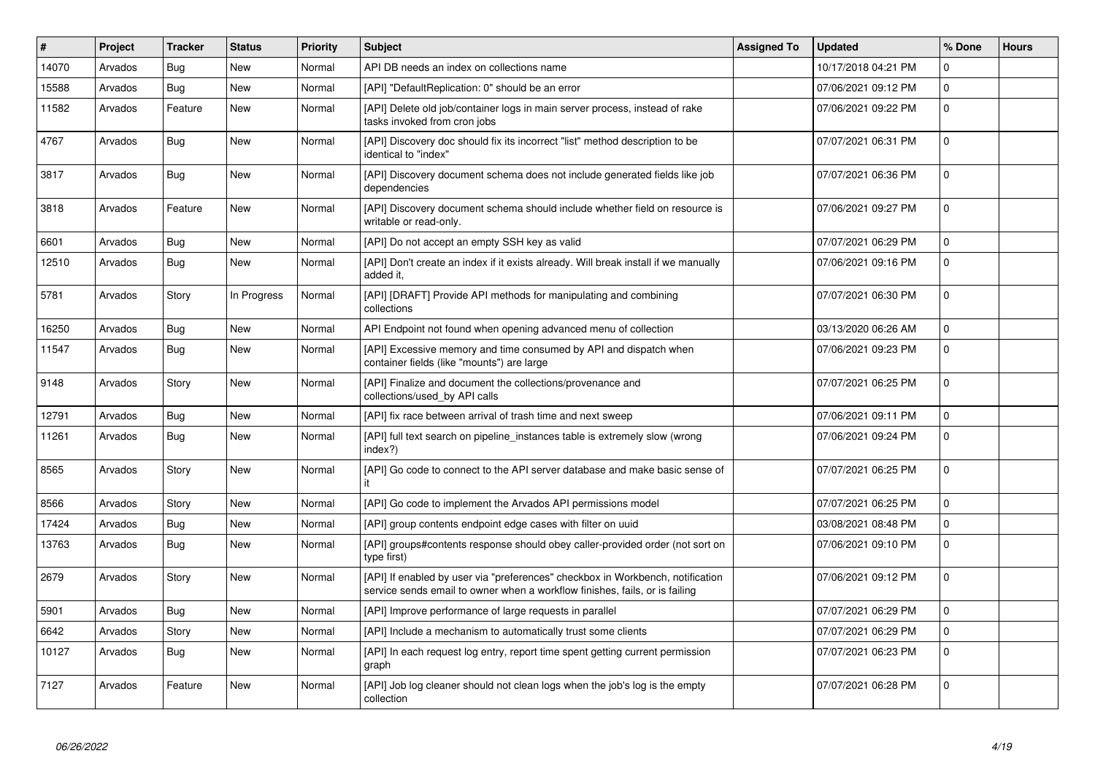| #     | <b>Project</b> | <b>Tracker</b> | <b>Status</b> | <b>Priority</b> | <b>Subject</b>                                                                                                                                                | <b>Assigned To</b> | <b>Updated</b>      | % Done      | <b>Hours</b> |
|-------|----------------|----------------|---------------|-----------------|---------------------------------------------------------------------------------------------------------------------------------------------------------------|--------------------|---------------------|-------------|--------------|
| 14070 | Arvados        | <b>Bug</b>     | <b>New</b>    | Normal          | API DB needs an index on collections name                                                                                                                     |                    | 10/17/2018 04:21 PM | $\mathbf 0$ |              |
| 15588 | Arvados        | Bug            | New           | Normal          | [API] "DefaultReplication: 0" should be an error                                                                                                              |                    | 07/06/2021 09:12 PM | $\mathbf 0$ |              |
| 11582 | Arvados        | Feature        | New           | Normal          | [API] Delete old job/container logs in main server process, instead of rake<br>tasks invoked from cron jobs                                                   |                    | 07/06/2021 09:22 PM | $\mathbf 0$ |              |
| 4767  | Arvados        | <b>Bug</b>     | New           | Normal          | [API] Discovery doc should fix its incorrect "list" method description to be<br>identical to "index"                                                          |                    | 07/07/2021 06:31 PM | $\pmb{0}$   |              |
| 3817  | Arvados        | Bug            | New           | Normal          | [API] Discovery document schema does not include generated fields like job<br>dependencies                                                                    |                    | 07/07/2021 06:36 PM | $\pmb{0}$   |              |
| 3818  | Arvados        | Feature        | New           | Normal          | [API] Discovery document schema should include whether field on resource is<br>writable or read-only.                                                         |                    | 07/06/2021 09:27 PM | $\mathbf 0$ |              |
| 6601  | Arvados        | <b>Bug</b>     | New           | Normal          | [API] Do not accept an empty SSH key as valid                                                                                                                 |                    | 07/07/2021 06:29 PM | $\mathbf 0$ |              |
| 12510 | Arvados        | Bug            | New           | Normal          | [API] Don't create an index if it exists already. Will break install if we manually<br>added it.                                                              |                    | 07/06/2021 09:16 PM | $\mathbf 0$ |              |
| 5781  | Arvados        | Story          | In Progress   | Normal          | [API] [DRAFT] Provide API methods for manipulating and combining<br>collections                                                                               |                    | 07/07/2021 06:30 PM | $\Omega$    |              |
| 16250 | Arvados        | Bug            | <b>New</b>    | Normal          | API Endpoint not found when opening advanced menu of collection                                                                                               |                    | 03/13/2020 06:26 AM | $\mathbf 0$ |              |
| 11547 | Arvados        | <b>Bug</b>     | <b>New</b>    | Normal          | [API] Excessive memory and time consumed by API and dispatch when<br>container fields (like "mounts") are large                                               |                    | 07/06/2021 09:23 PM | $\mathbf 0$ |              |
| 9148  | Arvados        | Story          | New           | Normal          | [API] Finalize and document the collections/provenance and<br>collections/used_by API calls                                                                   |                    | 07/07/2021 06:25 PM | $\pmb{0}$   |              |
| 12791 | Arvados        | Bug            | New           | Normal          | [API] fix race between arrival of trash time and next sweep                                                                                                   |                    | 07/06/2021 09:11 PM | $\pmb{0}$   |              |
| 11261 | Arvados        | Bug            | New           | Normal          | [API] full text search on pipeline instances table is extremely slow (wrong<br>index?)                                                                        |                    | 07/06/2021 09:24 PM | $\pmb{0}$   |              |
| 8565  | Arvados        | Story          | New           | Normal          | [API] Go code to connect to the API server database and make basic sense of                                                                                   |                    | 07/07/2021 06:25 PM | $\pmb{0}$   |              |
| 8566  | Arvados        | Story          | New           | Normal          | [API] Go code to implement the Arvados API permissions model                                                                                                  |                    | 07/07/2021 06:25 PM | $\mathbf 0$ |              |
| 17424 | Arvados        | Bug            | New           | Normal          | [API] group contents endpoint edge cases with filter on uuid                                                                                                  |                    | 03/08/2021 08:48 PM | $\pmb{0}$   |              |
| 13763 | Arvados        | <b>Bug</b>     | New           | Normal          | [API] groups#contents response should obey caller-provided order (not sort on<br>type first)                                                                  |                    | 07/06/2021 09:10 PM | $\pmb{0}$   |              |
| 2679  | Arvados        | Story          | New           | Normal          | [API] If enabled by user via "preferences" checkbox in Workbench, notification<br>service sends email to owner when a workflow finishes, fails, or is failing |                    | 07/06/2021 09:12 PM | 0           |              |
| 5901  | Arvados        | Bug            | New           | Normal          | [API] Improve performance of large requests in parallel                                                                                                       |                    | 07/07/2021 06:29 PM | $\mathbf 0$ |              |
| 6642  | Arvados        | Story          | New           | Normal          | [API] Include a mechanism to automatically trust some clients                                                                                                 |                    | 07/07/2021 06:29 PM | $\mathbf 0$ |              |
| 10127 | Arvados        | <b>Bug</b>     | New           | Normal          | [API] In each request log entry, report time spent getting current permission<br>graph                                                                        |                    | 07/07/2021 06:23 PM | $\pmb{0}$   |              |
| 7127  | Arvados        | Feature        | New           | Normal          | [API] Job log cleaner should not clean logs when the job's log is the empty<br>collection                                                                     |                    | 07/07/2021 06:28 PM | $\mathbf 0$ |              |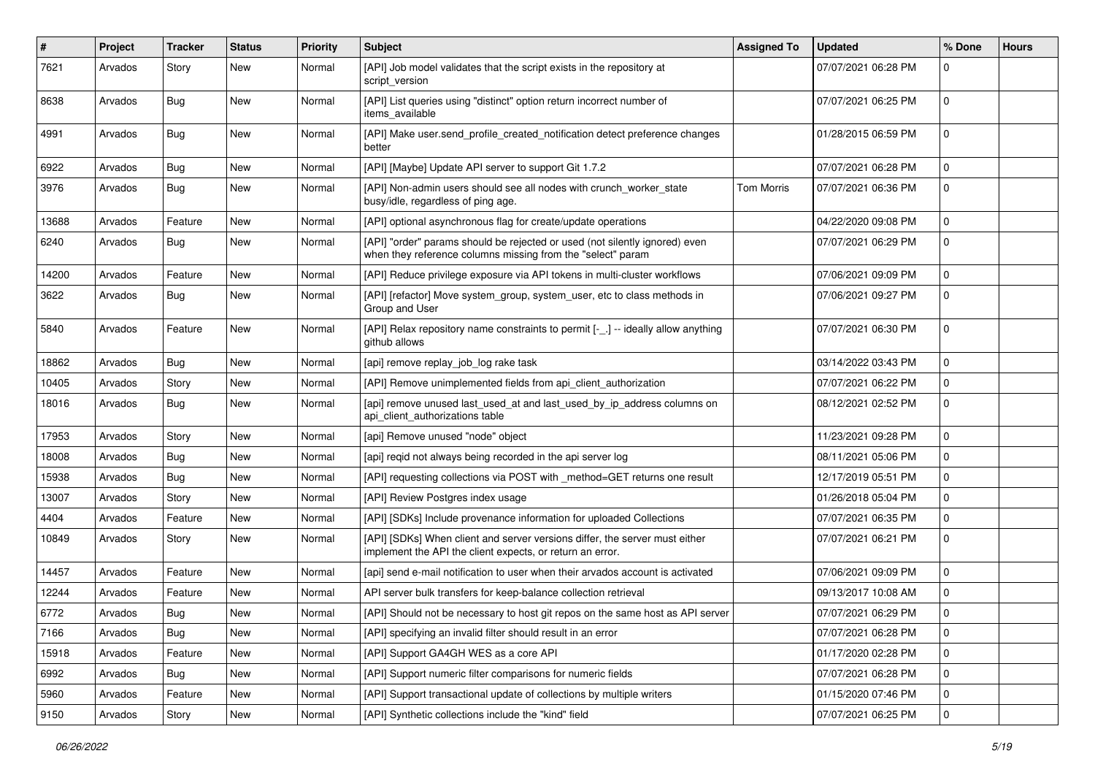| $\#$  | Project | <b>Tracker</b> | <b>Status</b> | <b>Priority</b> | Subject                                                                                                                                    | <b>Assigned To</b> | <b>Updated</b>      | % Done      | <b>Hours</b> |
|-------|---------|----------------|---------------|-----------------|--------------------------------------------------------------------------------------------------------------------------------------------|--------------------|---------------------|-------------|--------------|
| 7621  | Arvados | Story          | New           | Normal          | [API] Job model validates that the script exists in the repository at<br>script version                                                    |                    | 07/07/2021 06:28 PM | 0           |              |
| 8638  | Arvados | <b>Bug</b>     | New           | Normal          | [API] List queries using "distinct" option return incorrect number of<br>items available                                                   |                    | 07/07/2021 06:25 PM | 0           |              |
| 4991  | Arvados | <b>Bug</b>     | New           | Normal          | [API] Make user.send_profile_created_notification detect preference changes<br>better                                                      |                    | 01/28/2015 06:59 PM | 0           |              |
| 6922  | Arvados | <b>Bug</b>     | New           | Normal          | [API] [Maybe] Update API server to support Git 1.7.2                                                                                       |                    | 07/07/2021 06:28 PM | 0           |              |
| 3976  | Arvados | <b>Bug</b>     | New           | Normal          | [API] Non-admin users should see all nodes with crunch_worker_state<br>busy/idle, regardless of ping age.                                  | <b>Tom Morris</b>  | 07/07/2021 06:36 PM | 0           |              |
| 13688 | Arvados | Feature        | New           | Normal          | [API] optional asynchronous flag for create/update operations                                                                              |                    | 04/22/2020 09:08 PM | 0           |              |
| 6240  | Arvados | <b>Bug</b>     | New           | Normal          | [API] "order" params should be rejected or used (not silently ignored) even<br>when they reference columns missing from the "select" param |                    | 07/07/2021 06:29 PM | $\mathbf 0$ |              |
| 14200 | Arvados | Feature        | New           | Normal          | [API] Reduce privilege exposure via API tokens in multi-cluster workflows                                                                  |                    | 07/06/2021 09:09 PM | 0           |              |
| 3622  | Arvados | <b>Bug</b>     | New           | Normal          | [API] [refactor] Move system_group, system_user, etc to class methods in<br>Group and User                                                 |                    | 07/06/2021 09:27 PM | $\mathbf 0$ |              |
| 5840  | Arvados | Feature        | New           | Normal          | [API] Relax repository name constraints to permit [-_.] -- ideally allow anything<br>github allows                                         |                    | 07/07/2021 06:30 PM | 0           |              |
| 18862 | Arvados | <b>Bug</b>     | New           | Normal          | [api] remove replay_job_log rake task                                                                                                      |                    | 03/14/2022 03:43 PM | 0           |              |
| 10405 | Arvados | Story          | New           | Normal          | [API] Remove unimplemented fields from api_client_authorization                                                                            |                    | 07/07/2021 06:22 PM | 0           |              |
| 18016 | Arvados | Bug            | New           | Normal          | [api] remove unused last_used_at and last_used_by_ip_address columns on<br>api_client_authorizations table                                 |                    | 08/12/2021 02:52 PM | 0           |              |
| 17953 | Arvados | Story          | New           | Normal          | [api] Remove unused "node" object                                                                                                          |                    | 11/23/2021 09:28 PM | 0           |              |
| 18008 | Arvados | <b>Bug</b>     | New           | Normal          | [api] reqid not always being recorded in the api server log                                                                                |                    | 08/11/2021 05:06 PM | 0           |              |
| 15938 | Arvados | Bug            | New           | Normal          | [API] requesting collections via POST with _method=GET returns one result                                                                  |                    | 12/17/2019 05:51 PM | $\mathbf 0$ |              |
| 13007 | Arvados | Story          | New           | Normal          | [API] Review Postgres index usage                                                                                                          |                    | 01/26/2018 05:04 PM | 0           |              |
| 4404  | Arvados | Feature        | New           | Normal          | [API] [SDKs] Include provenance information for uploaded Collections                                                                       |                    | 07/07/2021 06:35 PM | $\mathbf 0$ |              |
| 10849 | Arvados | Story          | New           | Normal          | [API] [SDKs] When client and server versions differ, the server must either<br>implement the API the client expects, or return an error.   |                    | 07/07/2021 06:21 PM | 0           |              |
| 14457 | Arvados | Feature        | New           | Normal          | [api] send e-mail notification to user when their arvados account is activated                                                             |                    | 07/06/2021 09:09 PM | 0           |              |
| 12244 | Arvados | Feature        | New           | Normal          | API server bulk transfers for keep-balance collection retrieval                                                                            |                    | 09/13/2017 10:08 AM | 0           |              |
| 6772  | Arvados | <b>Bug</b>     | New           | Normal          | [API] Should not be necessary to host git repos on the same host as API server                                                             |                    | 07/07/2021 06:29 PM | 0           |              |
| 7166  | Arvados | Bug            | New           | Normal          | [API] specifying an invalid filter should result in an error                                                                               |                    | 07/07/2021 06:28 PM | 0           |              |
| 15918 | Arvados | Feature        | New           | Normal          | [API] Support GA4GH WES as a core API                                                                                                      |                    | 01/17/2020 02:28 PM | $\mathbf 0$ |              |
| 6992  | Arvados | <b>Bug</b>     | New           | Normal          | [API] Support numeric filter comparisons for numeric fields                                                                                |                    | 07/07/2021 06:28 PM | 0           |              |
| 5960  | Arvados | Feature        | New           | Normal          | [API] Support transactional update of collections by multiple writers                                                                      |                    | 01/15/2020 07:46 PM | 0           |              |
| 9150  | Arvados | Story          | New           | Normal          | [API] Synthetic collections include the "kind" field                                                                                       |                    | 07/07/2021 06:25 PM | 0           |              |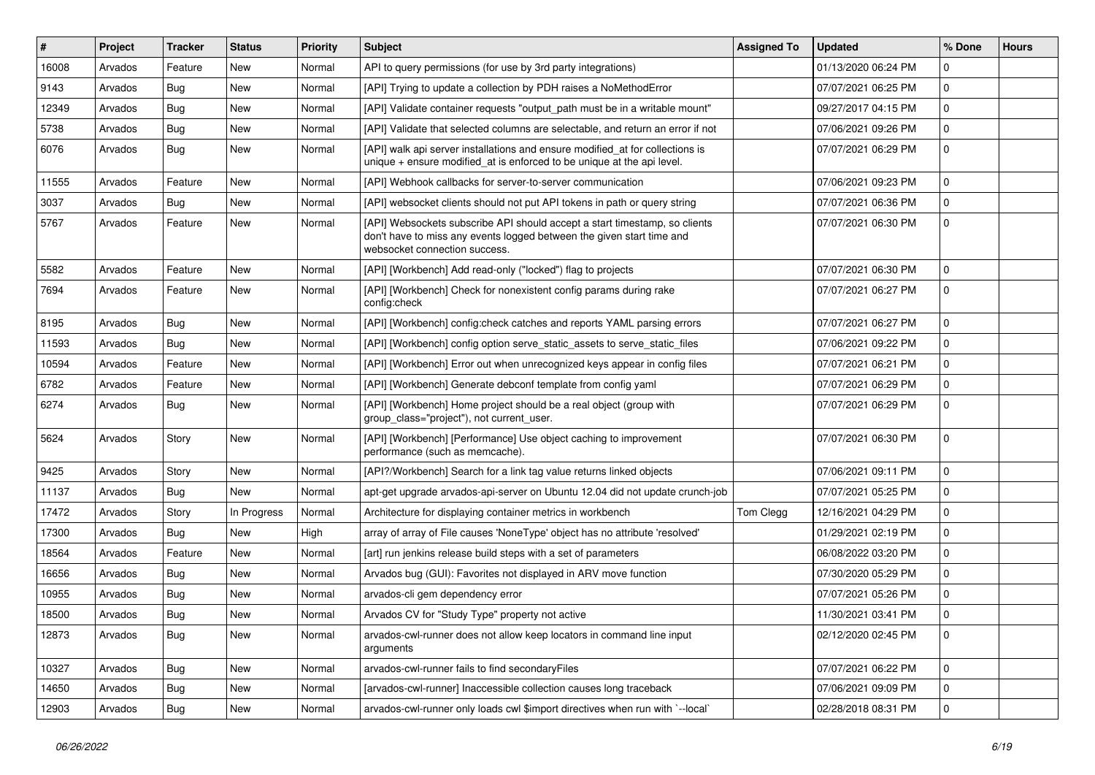| $\#$  | Project | <b>Tracker</b> | <b>Status</b> | <b>Priority</b> | <b>Subject</b>                                                                                                                                                                       | <b>Assigned To</b> | <b>Updated</b>      | % Done      | <b>Hours</b> |
|-------|---------|----------------|---------------|-----------------|--------------------------------------------------------------------------------------------------------------------------------------------------------------------------------------|--------------------|---------------------|-------------|--------------|
| 16008 | Arvados | Feature        | New           | Normal          | API to query permissions (for use by 3rd party integrations)                                                                                                                         |                    | 01/13/2020 06:24 PM | 0           |              |
| 9143  | Arvados | <b>Bug</b>     | <b>New</b>    | Normal          | [API] Trying to update a collection by PDH raises a NoMethodError                                                                                                                    |                    | 07/07/2021 06:25 PM | $\mathbf 0$ |              |
| 12349 | Arvados | <b>Bug</b>     | New           | Normal          | [API] Validate container requests "output_path must be in a writable mount"                                                                                                          |                    | 09/27/2017 04:15 PM | $\mathbf 0$ |              |
| 5738  | Arvados | <b>Bug</b>     | New           | Normal          | [API] Validate that selected columns are selectable, and return an error if not                                                                                                      |                    | 07/06/2021 09:26 PM | $\mathbf 0$ |              |
| 6076  | Arvados | Bug            | New           | Normal          | [API] walk api server installations and ensure modified_at for collections is<br>unique $+$ ensure modified_at is enforced to be unique at the api level.                            |                    | 07/07/2021 06:29 PM | $\mathbf 0$ |              |
| 11555 | Arvados | Feature        | New           | Normal          | [API] Webhook callbacks for server-to-server communication                                                                                                                           |                    | 07/06/2021 09:23 PM | $\Omega$    |              |
| 3037  | Arvados | Bug            | New           | Normal          | [API] websocket clients should not put API tokens in path or query string                                                                                                            |                    | 07/07/2021 06:36 PM | $\mathbf 0$ |              |
| 5767  | Arvados | Feature        | New           | Normal          | [API] Websockets subscribe API should accept a start timestamp, so clients<br>don't have to miss any events logged between the given start time and<br>websocket connection success. |                    | 07/07/2021 06:30 PM | $\mathbf 0$ |              |
| 5582  | Arvados | Feature        | New           | Normal          | [API] [Workbench] Add read-only ("locked") flag to projects                                                                                                                          |                    | 07/07/2021 06:30 PM | $\mathbf 0$ |              |
| 7694  | Arvados | Feature        | New           | Normal          | [API] [Workbench] Check for nonexistent config params during rake<br>config:check                                                                                                    |                    | 07/07/2021 06:27 PM | $\mathbf 0$ |              |
| 8195  | Arvados | <b>Bug</b>     | New           | Normal          | [API] [Workbench] config:check catches and reports YAML parsing errors                                                                                                               |                    | 07/07/2021 06:27 PM | $\mathbf 0$ |              |
| 11593 | Arvados | <b>Bug</b>     | New           | Normal          | [API] [Workbench] config option serve_static_assets to serve_static_files                                                                                                            |                    | 07/06/2021 09:22 PM | $\mathbf 0$ |              |
| 10594 | Arvados | Feature        | New           | Normal          | [API] [Workbench] Error out when unrecognized keys appear in config files                                                                                                            |                    | 07/07/2021 06:21 PM | $\mathbf 0$ |              |
| 6782  | Arvados | Feature        | New           | Normal          | [API] [Workbench] Generate debconf template from config yaml                                                                                                                         |                    | 07/07/2021 06:29 PM | $\mathbf 0$ |              |
| 6274  | Arvados | <b>Bug</b>     | New           | Normal          | [API] [Workbench] Home project should be a real object (group with<br>group_class="project"), not current_user.                                                                      |                    | 07/07/2021 06:29 PM | $\mathbf 0$ |              |
| 5624  | Arvados | Story          | New           | Normal          | [API] [Workbench] [Performance] Use object caching to improvement<br>performance (such as memcache).                                                                                 |                    | 07/07/2021 06:30 PM | $\mathbf 0$ |              |
| 9425  | Arvados | Story          | New           | Normal          | [API?/Workbench] Search for a link tag value returns linked objects                                                                                                                  |                    | 07/06/2021 09:11 PM | $\mathbf 0$ |              |
| 11137 | Arvados | <b>Bug</b>     | New           | Normal          | apt-get upgrade arvados-api-server on Ubuntu 12.04 did not update crunch-job                                                                                                         |                    | 07/07/2021 05:25 PM | $\mathbf 0$ |              |
| 17472 | Arvados | Story          | In Progress   | Normal          | Architecture for displaying container metrics in workbench                                                                                                                           | Tom Clegg          | 12/16/2021 04:29 PM | $\mathbf 0$ |              |
| 17300 | Arvados | <b>Bug</b>     | New           | High            | array of array of File causes 'NoneType' object has no attribute 'resolved'                                                                                                          |                    | 01/29/2021 02:19 PM | $\mathbf 0$ |              |
| 18564 | Arvados | Feature        | New           | Normal          | [art] run jenkins release build steps with a set of parameters                                                                                                                       |                    | 06/08/2022 03:20 PM | 0           |              |
| 16656 | Arvados | <b>Bug</b>     | New           | Normal          | Arvados bug (GUI): Favorites not displayed in ARV move function                                                                                                                      |                    | 07/30/2020 05:29 PM | $\mathbf 0$ |              |
| 10955 | Arvados | <b>Bug</b>     | New           | Normal          | arvados-cli gem dependency error                                                                                                                                                     |                    | 07/07/2021 05:26 PM | $\mathbf 0$ |              |
| 18500 | Arvados | <b>Bug</b>     | New           | Normal          | Arvados CV for "Study Type" property not active                                                                                                                                      |                    | 11/30/2021 03:41 PM | $\mathbf 0$ |              |
| 12873 | Arvados | Bug            | New           | Normal          | arvados-cwl-runner does not allow keep locators in command line input<br>arguments                                                                                                   |                    | 02/12/2020 02:45 PM | 0           |              |
| 10327 | Arvados | Bug            | New           | Normal          | arvados-cwl-runner fails to find secondaryFiles                                                                                                                                      |                    | 07/07/2021 06:22 PM | $\mathbf 0$ |              |
| 14650 | Arvados | <b>Bug</b>     | New           | Normal          | [arvados-cwl-runner] Inaccessible collection causes long traceback                                                                                                                   |                    | 07/06/2021 09:09 PM | $\mathbf 0$ |              |
| 12903 | Arvados | <b>Bug</b>     | New           | Normal          | arvados-cwl-runner only loads cwl \$import directives when run with `--local`                                                                                                        |                    | 02/28/2018 08:31 PM | $\mathbf 0$ |              |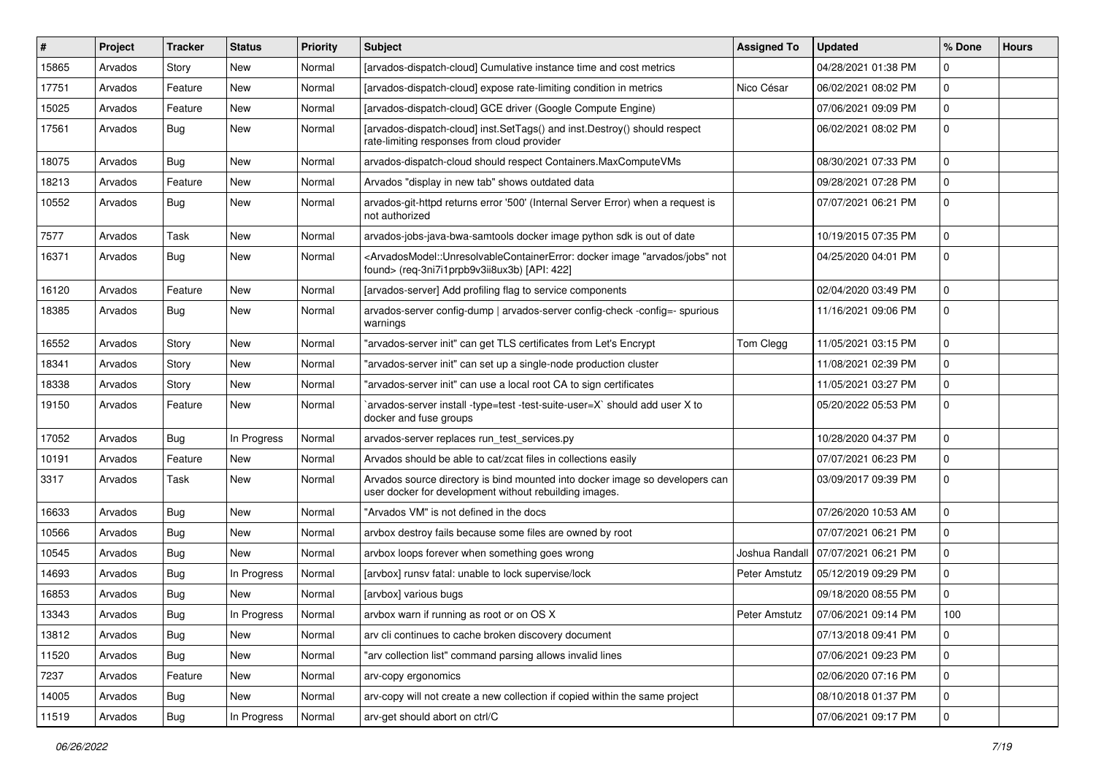| $\#$  | Project | <b>Tracker</b> | <b>Status</b> | <b>Priority</b> | <b>Subject</b>                                                                                                                                                                           | <b>Assigned To</b> | <b>Updated</b>      | % Done      | <b>Hours</b> |
|-------|---------|----------------|---------------|-----------------|------------------------------------------------------------------------------------------------------------------------------------------------------------------------------------------|--------------------|---------------------|-------------|--------------|
| 15865 | Arvados | Story          | New           | Normal          | [arvados-dispatch-cloud] Cumulative instance time and cost metrics                                                                                                                       |                    | 04/28/2021 01:38 PM | 0           |              |
| 17751 | Arvados | Feature        | New           | Normal          | [arvados-dispatch-cloud] expose rate-limiting condition in metrics                                                                                                                       | Nico César         | 06/02/2021 08:02 PM | $\mathbf 0$ |              |
| 15025 | Arvados | Feature        | New           | Normal          | [arvados-dispatch-cloud] GCE driver (Google Compute Engine)                                                                                                                              |                    | 07/06/2021 09:09 PM | $\mathbf 0$ |              |
| 17561 | Arvados | <b>Bug</b>     | New           | Normal          | [arvados-dispatch-cloud] inst.SetTags() and inst.Destroy() should respect<br>rate-limiting responses from cloud provider                                                                 |                    | 06/02/2021 08:02 PM | $\mathbf 0$ |              |
| 18075 | Arvados | <b>Bug</b>     | New           | Normal          | arvados-dispatch-cloud should respect Containers.MaxComputeVMs                                                                                                                           |                    | 08/30/2021 07:33 PM | 0           |              |
| 18213 | Arvados | Feature        | New           | Normal          | Arvados "display in new tab" shows outdated data                                                                                                                                         |                    | 09/28/2021 07:28 PM | $\mathbf 0$ |              |
| 10552 | Arvados | Bug            | New           | Normal          | arvados-git-httpd returns error '500' (Internal Server Error) when a request is<br>not authorized                                                                                        |                    | 07/07/2021 06:21 PM | $\mathbf 0$ |              |
| 7577  | Arvados | Task           | New           | Normal          | arvados-jobs-java-bwa-samtools docker image python sdk is out of date                                                                                                                    |                    | 10/19/2015 07:35 PM | $\mathbf 0$ |              |
| 16371 | Arvados | <b>Bug</b>     | New           | Normal          | <arvadosmodel::unresolvablecontainererror: "arvados="" docker="" image="" jobs"="" not<br="">found&gt; (req-3ni7i1prpb9v3ii8ux3b) [API: 422]</arvadosmodel::unresolvablecontainererror:> |                    | 04/25/2020 04:01 PM | $\mathbf 0$ |              |
| 16120 | Arvados | Feature        | New           | Normal          | [arvados-server] Add profiling flag to service components                                                                                                                                |                    | 02/04/2020 03:49 PM | 0           |              |
| 18385 | Arvados | <b>Bug</b>     | New           | Normal          | arvados-server config-dump   arvados-server config-check -config=- spurious<br>warnings                                                                                                  |                    | 11/16/2021 09:06 PM | $\mathbf 0$ |              |
| 16552 | Arvados | Story          | New           | Normal          | "arvados-server init" can get TLS certificates from Let's Encrypt                                                                                                                        | Tom Clegg          | 11/05/2021 03:15 PM | $\mathbf 0$ |              |
| 18341 | Arvados | Story          | New           | Normal          | "arvados-server init" can set up a single-node production cluster                                                                                                                        |                    | 11/08/2021 02:39 PM | $\mathbf 0$ |              |
| 18338 | Arvados | Story          | New           | Normal          | "arvados-server init" can use a local root CA to sign certificates                                                                                                                       |                    | 11/05/2021 03:27 PM | $\mathbf 0$ |              |
| 19150 | Arvados | Feature        | New           | Normal          | arvados-server install -type=test -test-suite-user=X` should add user X to<br>docker and fuse groups                                                                                     |                    | 05/20/2022 05:53 PM | $\mathbf 0$ |              |
| 17052 | Arvados | Bug            | In Progress   | Normal          | arvados-server replaces run_test_services.py                                                                                                                                             |                    | 10/28/2020 04:37 PM | 0           |              |
| 10191 | Arvados | Feature        | New           | Normal          | Arvados should be able to cat/zcat files in collections easily                                                                                                                           |                    | 07/07/2021 06:23 PM | $\mathbf 0$ |              |
| 3317  | Arvados | Task           | New           | Normal          | Arvados source directory is bind mounted into docker image so developers can<br>user docker for development without rebuilding images.                                                   |                    | 03/09/2017 09:39 PM | $\mathbf 0$ |              |
| 16633 | Arvados | Bug            | New           | Normal          | "Arvados VM" is not defined in the docs                                                                                                                                                  |                    | 07/26/2020 10:53 AM | 0           |              |
| 10566 | Arvados | Bug            | New           | Normal          | arvbox destroy fails because some files are owned by root                                                                                                                                |                    | 07/07/2021 06:21 PM | $\mathbf 0$ |              |
| 10545 | Arvados | Bug            | New           | Normal          | arvbox loops forever when something goes wrong                                                                                                                                           | Joshua Randall     | 07/07/2021 06:21 PM | 0           |              |
| 14693 | Arvados | Bug            | In Progress   | Normal          | [arvbox] runsv fatal: unable to lock supervise/lock                                                                                                                                      | Peter Amstutz      | 05/12/2019 09:29 PM | $\mathbf 0$ |              |
| 16853 | Arvados | <b>Bug</b>     | New           | Normal          | [arvbox] various bugs                                                                                                                                                                    |                    | 09/18/2020 08:55 PM | $\mathbf 0$ |              |
| 13343 | Arvados | Bug            | In Progress   | Normal          | arvbox warn if running as root or on OS X                                                                                                                                                | Peter Amstutz      | 07/06/2021 09:14 PM | 100         |              |
| 13812 | Arvados | Bug            | New           | Normal          | arv cli continues to cache broken discovery document                                                                                                                                     |                    | 07/13/2018 09:41 PM | $\mathbf 0$ |              |
| 11520 | Arvados | Bug            | New           | Normal          | "arv collection list" command parsing allows invalid lines                                                                                                                               |                    | 07/06/2021 09:23 PM | 0           |              |
| 7237  | Arvados | Feature        | New           | Normal          | arv-copy ergonomics                                                                                                                                                                      |                    | 02/06/2020 07:16 PM | $\mathbf 0$ |              |
| 14005 | Arvados | <b>Bug</b>     | New           | Normal          | arv-copy will not create a new collection if copied within the same project                                                                                                              |                    | 08/10/2018 01:37 PM | 0           |              |
| 11519 | Arvados | Bug            | In Progress   | Normal          | arv-get should abort on ctrl/C                                                                                                                                                           |                    | 07/06/2021 09:17 PM | 0           |              |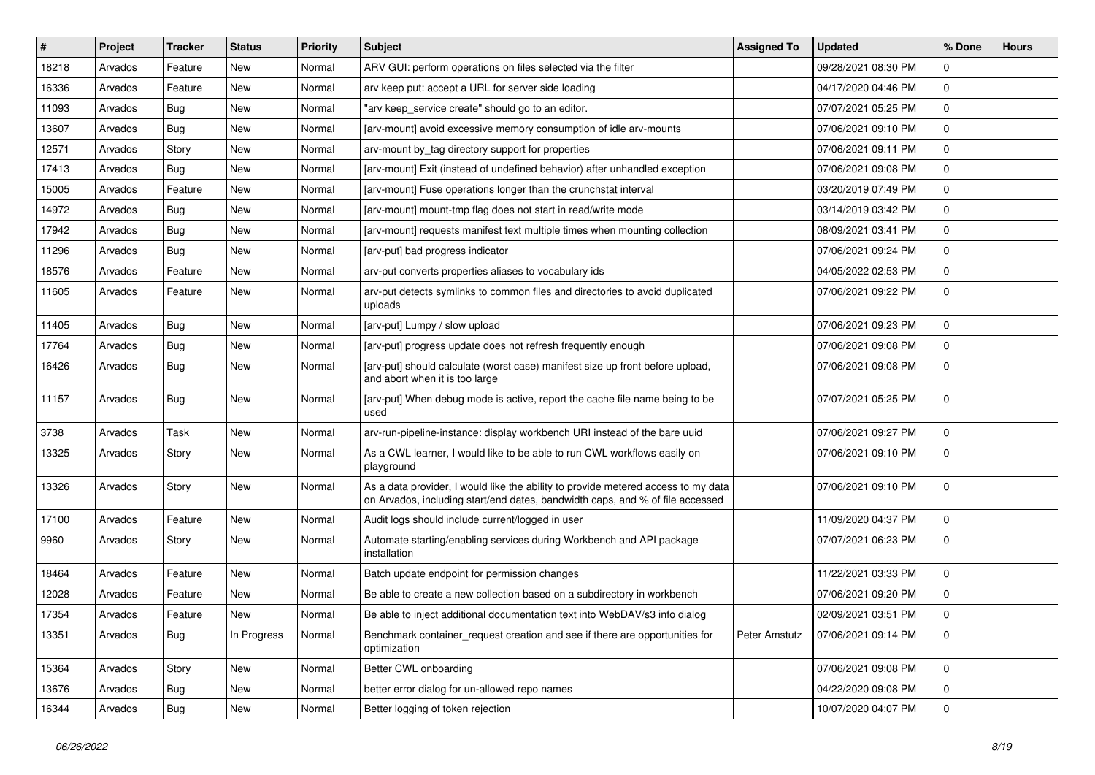| ∦     | Project | <b>Tracker</b> | <b>Status</b> | <b>Priority</b> | <b>Subject</b>                                                                                                                                                     | <b>Assigned To</b> | <b>Updated</b>      | % Done      | <b>Hours</b> |
|-------|---------|----------------|---------------|-----------------|--------------------------------------------------------------------------------------------------------------------------------------------------------------------|--------------------|---------------------|-------------|--------------|
| 18218 | Arvados | Feature        | New           | Normal          | ARV GUI: perform operations on files selected via the filter                                                                                                       |                    | 09/28/2021 08:30 PM | 0           |              |
| 16336 | Arvados | Feature        | New           | Normal          | arv keep put: accept a URL for server side loading                                                                                                                 |                    | 04/17/2020 04:46 PM | $\mathbf 0$ |              |
| 11093 | Arvados | <b>Bug</b>     | New           | Normal          | "arv keep_service create" should go to an editor.                                                                                                                  |                    | 07/07/2021 05:25 PM | $\mathbf 0$ |              |
| 13607 | Arvados | <b>Bug</b>     | New           | Normal          | [arv-mount] avoid excessive memory consumption of idle arv-mounts                                                                                                  |                    | 07/06/2021 09:10 PM | $\mathbf 0$ |              |
| 12571 | Arvados | Story          | New           | Normal          | arv-mount by_tag directory support for properties                                                                                                                  |                    | 07/06/2021 09:11 PM | $\mathbf 0$ |              |
| 17413 | Arvados | <b>Bug</b>     | New           | Normal          | [arv-mount] Exit (instead of undefined behavior) after unhandled exception                                                                                         |                    | 07/06/2021 09:08 PM | $\mathbf 0$ |              |
| 15005 | Arvados | Feature        | New           | Normal          | [arv-mount] Fuse operations longer than the crunchstat interval                                                                                                    |                    | 03/20/2019 07:49 PM | $\Omega$    |              |
| 14972 | Arvados | <b>Bug</b>     | New           | Normal          | [arv-mount] mount-tmp flag does not start in read/write mode                                                                                                       |                    | 03/14/2019 03:42 PM | 0           |              |
| 17942 | Arvados | <b>Bug</b>     | New           | Normal          | [arv-mount] requests manifest text multiple times when mounting collection                                                                                         |                    | 08/09/2021 03:41 PM | $\mathbf 0$ |              |
| 11296 | Arvados | <b>Bug</b>     | New           | Normal          | [arv-put] bad progress indicator                                                                                                                                   |                    | 07/06/2021 09:24 PM | $\mathbf 0$ |              |
| 18576 | Arvados | Feature        | New           | Normal          | arv-put converts properties aliases to vocabulary ids                                                                                                              |                    | 04/05/2022 02:53 PM | $\mathbf 0$ |              |
| 11605 | Arvados | Feature        | New           | Normal          | arv-put detects symlinks to common files and directories to avoid duplicated<br>uploads                                                                            |                    | 07/06/2021 09:22 PM | $\mathbf 0$ |              |
| 11405 | Arvados | <b>Bug</b>     | New           | Normal          | [arv-put] Lumpy / slow upload                                                                                                                                      |                    | 07/06/2021 09:23 PM | $\Omega$    |              |
| 17764 | Arvados | Bug            | New           | Normal          | [arv-put] progress update does not refresh frequently enough                                                                                                       |                    | 07/06/2021 09:08 PM | $\mathbf 0$ |              |
| 16426 | Arvados | <b>Bug</b>     | New           | Normal          | [arv-put] should calculate (worst case) manifest size up front before upload,<br>and abort when it is too large                                                    |                    | 07/06/2021 09:08 PM | $\mathbf 0$ |              |
| 11157 | Arvados | <b>Bug</b>     | New           | Normal          | [arv-put] When debug mode is active, report the cache file name being to be<br>used                                                                                |                    | 07/07/2021 05:25 PM | $\mathbf 0$ |              |
| 3738  | Arvados | Task           | New           | Normal          | arv-run-pipeline-instance: display workbench URI instead of the bare uuid                                                                                          |                    | 07/06/2021 09:27 PM | $\mathbf 0$ |              |
| 13325 | Arvados | Story          | New           | Normal          | As a CWL learner, I would like to be able to run CWL workflows easily on<br>playground                                                                             |                    | 07/06/2021 09:10 PM | $\mathbf 0$ |              |
| 13326 | Arvados | Story          | New           | Normal          | As a data provider, I would like the ability to provide metered access to my data<br>on Arvados, including start/end dates, bandwidth caps, and % of file accessed |                    | 07/06/2021 09:10 PM | $\mathbf 0$ |              |
| 17100 | Arvados | Feature        | New           | Normal          | Audit logs should include current/logged in user                                                                                                                   |                    | 11/09/2020 04:37 PM | $\Omega$    |              |
| 9960  | Arvados | Story          | New           | Normal          | Automate starting/enabling services during Workbench and API package<br>installation                                                                               |                    | 07/07/2021 06:23 PM | $\mathbf 0$ |              |
| 18464 | Arvados | Feature        | New           | Normal          | Batch update endpoint for permission changes                                                                                                                       |                    | 11/22/2021 03:33 PM | $\mathbf 0$ |              |
| 12028 | Arvados | Feature        | New           | Normal          | Be able to create a new collection based on a subdirectory in workbench                                                                                            |                    | 07/06/2021 09:20 PM | $\mathbf 0$ |              |
| 17354 | Arvados | Feature        | New           | Normal          | Be able to inject additional documentation text into WebDAV/s3 info dialog                                                                                         |                    | 02/09/2021 03:51 PM | $\mathbf 0$ |              |
| 13351 | Arvados | <b>Bug</b>     | In Progress   | Normal          | Benchmark container request creation and see if there are opportunities for<br>optimization                                                                        | Peter Amstutz      | 07/06/2021 09:14 PM | 0           |              |
| 15364 | Arvados | Story          | New           | Normal          | Better CWL onboarding                                                                                                                                              |                    | 07/06/2021 09:08 PM | $\mathbf 0$ |              |
| 13676 | Arvados | <b>Bug</b>     | New           | Normal          | better error dialog for un-allowed repo names                                                                                                                      |                    | 04/22/2020 09:08 PM | $\mathbf 0$ |              |
| 16344 | Arvados | <b>Bug</b>     | New           | Normal          | Better logging of token rejection                                                                                                                                  |                    | 10/07/2020 04:07 PM | 0           |              |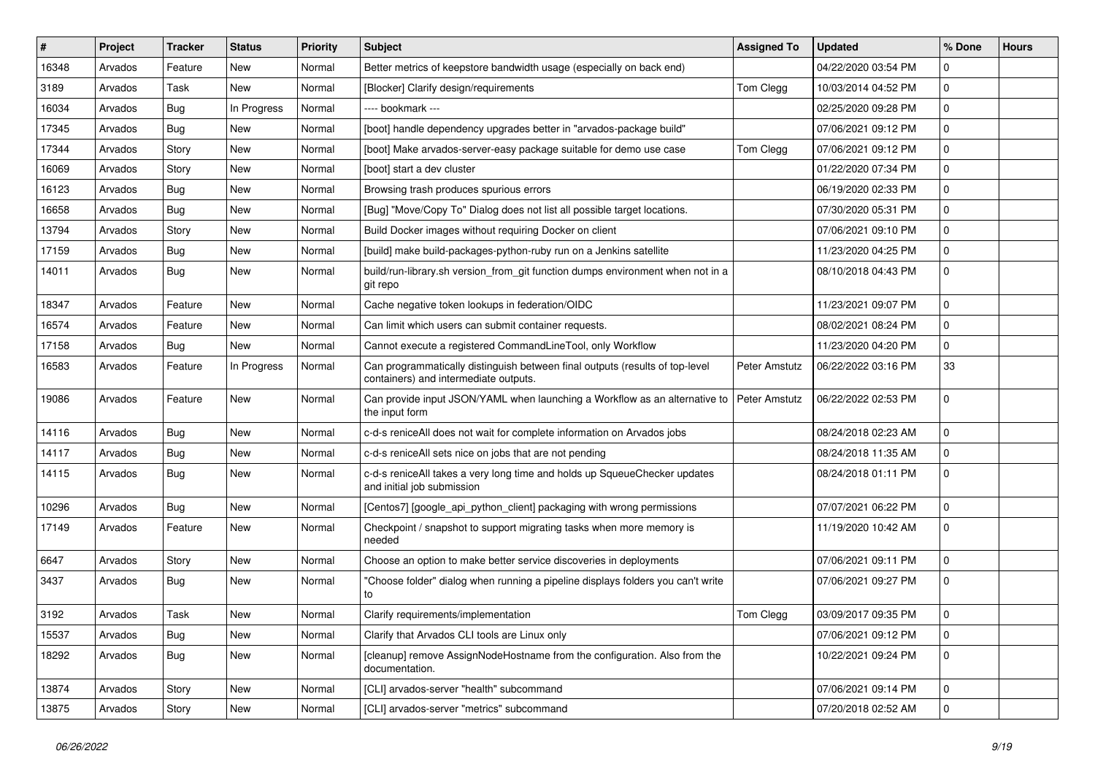| #     | Project | <b>Tracker</b> | <b>Status</b> | <b>Priority</b> | <b>Subject</b>                                                                                                        | <b>Assigned To</b> | <b>Updated</b>      | % Done              | <b>Hours</b> |
|-------|---------|----------------|---------------|-----------------|-----------------------------------------------------------------------------------------------------------------------|--------------------|---------------------|---------------------|--------------|
| 16348 | Arvados | Feature        | New           | Normal          | Better metrics of keepstore bandwidth usage (especially on back end)                                                  |                    | 04/22/2020 03:54 PM | $\Omega$            |              |
| 3189  | Arvados | Task           | <b>New</b>    | Normal          | [Blocker] Clarify design/requirements                                                                                 | Tom Clegg          | 10/03/2014 04:52 PM | 0                   |              |
| 16034 | Arvados | <b>Bug</b>     | In Progress   | Normal          | --- bookmark ---                                                                                                      |                    | 02/25/2020 09:28 PM | 0                   |              |
| 17345 | Arvados | <b>Bug</b>     | New           | Normal          | [boot] handle dependency upgrades better in "arvados-package build"                                                   |                    | 07/06/2021 09:12 PM | $\pmb{0}$           |              |
| 17344 | Arvados | Story          | New           | Normal          | [boot] Make arvados-server-easy package suitable for demo use case                                                    | Tom Clegg          | 07/06/2021 09:12 PM | 0                   |              |
| 16069 | Arvados | Story          | New           | Normal          | [boot] start a dev cluster                                                                                            |                    | 01/22/2020 07:34 PM | 0                   |              |
| 16123 | Arvados | <b>Bug</b>     | New           | Normal          | Browsing trash produces spurious errors                                                                               |                    | 06/19/2020 02:33 PM | $\mathbf 0$         |              |
| 16658 | Arvados | <b>Bug</b>     | New           | Normal          | [Bug] "Move/Copy To" Dialog does not list all possible target locations.                                              |                    | 07/30/2020 05:31 PM | 0                   |              |
| 13794 | Arvados | Story          | New           | Normal          | Build Docker images without requiring Docker on client                                                                |                    | 07/06/2021 09:10 PM | $\pmb{0}$           |              |
| 17159 | Arvados | Bug            | New           | Normal          | [build] make build-packages-python-ruby run on a Jenkins satellite                                                    |                    | 11/23/2020 04:25 PM | 0                   |              |
| 14011 | Arvados | <b>Bug</b>     | New           | Normal          | build/run-library.sh version_from_git function dumps environment when not in a<br>git repo                            |                    | 08/10/2018 04:43 PM | 0                   |              |
| 18347 | Arvados | Feature        | New           | Normal          | Cache negative token lookups in federation/OIDC                                                                       |                    | 11/23/2021 09:07 PM | 0                   |              |
| 16574 | Arvados | Feature        | New           | Normal          | Can limit which users can submit container requests.                                                                  |                    | 08/02/2021 08:24 PM | 0                   |              |
| 17158 | Arvados | <b>Bug</b>     | New           | Normal          | Cannot execute a registered CommandLineTool, only Workflow                                                            |                    | 11/23/2020 04:20 PM | 0                   |              |
| 16583 | Arvados | Feature        | In Progress   | Normal          | Can programmatically distinguish between final outputs (results of top-level<br>containers) and intermediate outputs. | Peter Amstutz      | 06/22/2022 03:16 PM | 33                  |              |
| 19086 | Arvados | Feature        | New           | Normal          | Can provide input JSON/YAML when launching a Workflow as an alternative to<br>the input form                          | Peter Amstutz      | 06/22/2022 02:53 PM | 0                   |              |
| 14116 | Arvados | Bug            | New           | Normal          | c-d-s reniceAll does not wait for complete information on Arvados jobs                                                |                    | 08/24/2018 02:23 AM | 0                   |              |
| 14117 | Arvados | <b>Bug</b>     | New           | Normal          | c-d-s reniceAll sets nice on jobs that are not pending                                                                |                    | 08/24/2018 11:35 AM | 0                   |              |
| 14115 | Arvados | <b>Bug</b>     | New           | Normal          | c-d-s reniceAll takes a very long time and holds up SqueueChecker updates<br>and initial job submission               |                    | 08/24/2018 01:11 PM | $\mathbf 0$         |              |
| 10296 | Arvados | Bug            | New           | Normal          | [Centos7] [google_api_python_client] packaging with wrong permissions                                                 |                    | 07/07/2021 06:22 PM | 0                   |              |
| 17149 | Arvados | Feature        | New           | Normal          | Checkpoint / snapshot to support migrating tasks when more memory is<br>needed                                        |                    | 11/19/2020 10:42 AM | 0                   |              |
| 6647  | Arvados | Story          | New           | Normal          | Choose an option to make better service discoveries in deployments                                                    |                    | 07/06/2021 09:11 PM | 0                   |              |
| 3437  | Arvados | <b>Bug</b>     | New           | Normal          | "Choose folder" dialog when running a pipeline displays folders you can't write<br>to                                 |                    | 07/06/2021 09:27 PM | $\mathbf 0$         |              |
| 3192  | Arvados | Task           | New           | Normal          | Clarify requirements/implementation                                                                                   | Tom Clegg          | 03/09/2017 09:35 PM | $\Omega$            |              |
| 15537 | Arvados | Bug            | New           | Normal          | Clarify that Arvados CLI tools are Linux only                                                                         |                    | 07/06/2021 09:12 PM | $\mathbf 0$         |              |
| 18292 | Arvados | Bug            | New           | Normal          | [cleanup] remove AssignNodeHostname from the configuration. Also from the<br>documentation.                           |                    | 10/22/2021 09:24 PM | $\mathbf 0$         |              |
| 13874 | Arvados | Story          | New           | Normal          | [CLI] arvados-server "health" subcommand                                                                              |                    | 07/06/2021 09:14 PM | $\mathsf{O}\xspace$ |              |
| 13875 | Arvados | Story          | New           | Normal          | [CLI] arvados-server "metrics" subcommand                                                                             |                    | 07/20/2018 02:52 AM | $\mathbf 0$         |              |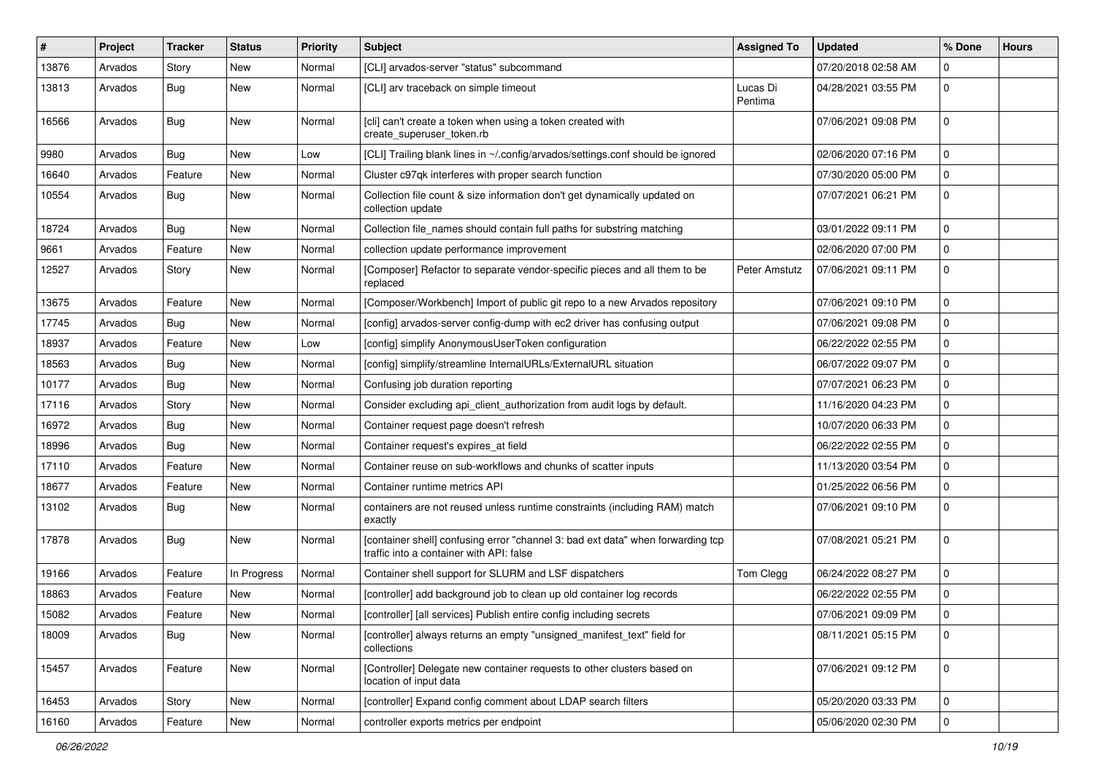| #     | Project | <b>Tracker</b> | <b>Status</b> | <b>Priority</b> | Subject                                                                                                                     | <b>Assigned To</b>  | <b>Updated</b>      | % Done      | <b>Hours</b> |
|-------|---------|----------------|---------------|-----------------|-----------------------------------------------------------------------------------------------------------------------------|---------------------|---------------------|-------------|--------------|
| 13876 | Arvados | Story          | New           | Normal          | [CLI] arvados-server "status" subcommand                                                                                    |                     | 07/20/2018 02:58 AM | $\Omega$    |              |
| 13813 | Arvados | <b>Bug</b>     | New           | Normal          | [CLI] arv traceback on simple timeout                                                                                       | Lucas Di<br>Pentima | 04/28/2021 03:55 PM | $\mathbf 0$ |              |
| 16566 | Arvados | <b>Bug</b>     | New           | Normal          | [cli] can't create a token when using a token created with<br>create_superuser_token.rb                                     |                     | 07/06/2021 09:08 PM | $\mathbf 0$ |              |
| 9980  | Arvados | Bug            | New           | Low             | [CLI] Trailing blank lines in ~/.config/arvados/settings.conf should be ignored                                             |                     | 02/06/2020 07:16 PM | $\mathbf 0$ |              |
| 16640 | Arvados | Feature        | New           | Normal          | Cluster c97qk interferes with proper search function                                                                        |                     | 07/30/2020 05:00 PM | $\mathbf 0$ |              |
| 10554 | Arvados | <b>Bug</b>     | New           | Normal          | Collection file count & size information don't get dynamically updated on<br>collection update                              |                     | 07/07/2021 06:21 PM | 0           |              |
| 18724 | Arvados | Bug            | New           | Normal          | Collection file_names should contain full paths for substring matching                                                      |                     | 03/01/2022 09:11 PM | $\mathbf 0$ |              |
| 9661  | Arvados | Feature        | New           | Normal          | collection update performance improvement                                                                                   |                     | 02/06/2020 07:00 PM | $\mathbf 0$ |              |
| 12527 | Arvados | Story          | New           | Normal          | [Composer] Refactor to separate vendor-specific pieces and all them to be<br>replaced                                       | Peter Amstutz       | 07/06/2021 09:11 PM | $\mathbf 0$ |              |
| 13675 | Arvados | Feature        | New           | Normal          | [Composer/Workbench] Import of public git repo to a new Arvados repository                                                  |                     | 07/06/2021 09:10 PM | $\mathbf 0$ |              |
| 17745 | Arvados | <b>Bug</b>     | New           | Normal          | [config] arvados-server config-dump with ec2 driver has confusing output                                                    |                     | 07/06/2021 09:08 PM | $\mathbf 0$ |              |
| 18937 | Arvados | Feature        | New           | Low             | [config] simplify AnonymousUserToken configuration                                                                          |                     | 06/22/2022 02:55 PM | 0           |              |
| 18563 | Arvados | <b>Bug</b>     | New           | Normal          | [config] simplify/streamline InternalURLs/ExternalURL situation                                                             |                     | 06/07/2022 09:07 PM | $\mathbf 0$ |              |
| 10177 | Arvados | Bug            | New           | Normal          | Confusing job duration reporting                                                                                            |                     | 07/07/2021 06:23 PM | $\mathbf 0$ |              |
| 17116 | Arvados | Story          | New           | Normal          | Consider excluding api_client_authorization from audit logs by default.                                                     |                     | 11/16/2020 04:23 PM | $\mathbf 0$ |              |
| 16972 | Arvados | Bug            | New           | Normal          | Container request page doesn't refresh                                                                                      |                     | 10/07/2020 06:33 PM | $\mathbf 0$ |              |
| 18996 | Arvados | <b>Bug</b>     | New           | Normal          | Container request's expires at field                                                                                        |                     | 06/22/2022 02:55 PM | 0           |              |
| 17110 | Arvados | Feature        | New           | Normal          | Container reuse on sub-workflows and chunks of scatter inputs                                                               |                     | 11/13/2020 03:54 PM | $\mathbf 0$ |              |
| 18677 | Arvados | Feature        | New           | Normal          | Container runtime metrics API                                                                                               |                     | 01/25/2022 06:56 PM | $\mathbf 0$ |              |
| 13102 | Arvados | <b>Bug</b>     | New           | Normal          | containers are not reused unless runtime constraints (including RAM) match<br>exactly                                       |                     | 07/06/2021 09:10 PM | 0           |              |
| 17878 | Arvados | Bug            | New           | Normal          | [container shell] confusing error "channel 3: bad ext data" when forwarding tcp<br>traffic into a container with API: false |                     | 07/08/2021 05:21 PM | $\mathbf 0$ |              |
| 19166 | Arvados | Feature        | In Progress   | Normal          | Container shell support for SLURM and LSF dispatchers                                                                       | Tom Clegg           | 06/24/2022 08:27 PM | $\mathbf 0$ |              |
| 18863 | Arvados | Feature        | New           | Normal          | [controller] add background job to clean up old container log records                                                       |                     | 06/22/2022 02:55 PM | $\mathbf 0$ |              |
| 15082 | Arvados | Feature        | New           | Normal          | [controller] [all services] Publish entire config including secrets                                                         |                     | 07/06/2021 09:09 PM | $\mathbf 0$ |              |
| 18009 | Arvados | <b>Bug</b>     | New           | Normal          | [controller] always returns an empty "unsigned_manifest_text" field for<br>collections                                      |                     | 08/11/2021 05:15 PM | 0           |              |
| 15457 | Arvados | Feature        | New           | Normal          | [Controller] Delegate new container requests to other clusters based on<br>location of input data                           |                     | 07/06/2021 09:12 PM | $\mathbf 0$ |              |
| 16453 | Arvados | Story          | New           | Normal          | [controller] Expand config comment about LDAP search filters                                                                |                     | 05/20/2020 03:33 PM | $\mathbf 0$ |              |
| 16160 | Arvados | Feature        | New           | Normal          | controller exports metrics per endpoint                                                                                     |                     | 05/06/2020 02:30 PM | 0           |              |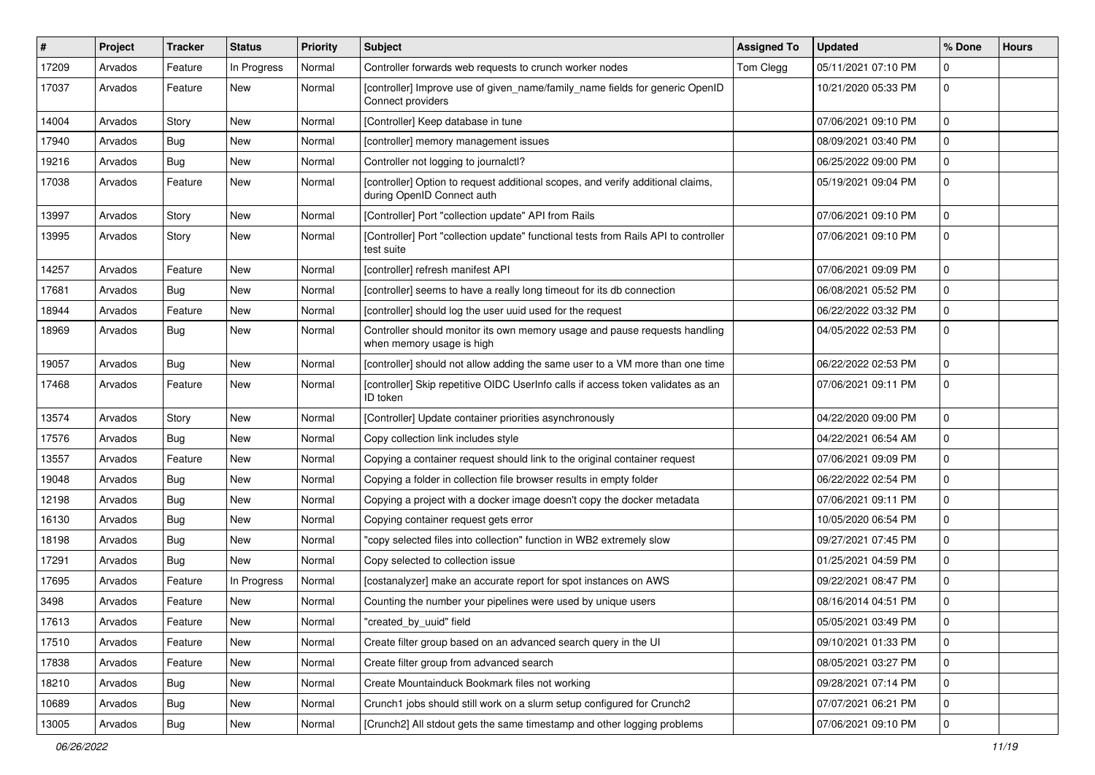| ∦     | Project | <b>Tracker</b> | <b>Status</b> | <b>Priority</b> | <b>Subject</b>                                                                                                | <b>Assigned To</b> | <b>Updated</b>      | % Done      | <b>Hours</b> |
|-------|---------|----------------|---------------|-----------------|---------------------------------------------------------------------------------------------------------------|--------------------|---------------------|-------------|--------------|
| 17209 | Arvados | Feature        | In Progress   | Normal          | Controller forwards web requests to crunch worker nodes                                                       | Tom Clegg          | 05/11/2021 07:10 PM | $\Omega$    |              |
| 17037 | Arvados | Feature        | New           | Normal          | [controller] Improve use of given_name/family_name fields for generic OpenID<br>Connect providers             |                    | 10/21/2020 05:33 PM | $\mathbf 0$ |              |
| 14004 | Arvados | Story          | New           | Normal          | [Controller] Keep database in tune                                                                            |                    | 07/06/2021 09:10 PM | $\mathbf 0$ |              |
| 17940 | Arvados | <b>Bug</b>     | New           | Normal          | [controller] memory management issues                                                                         |                    | 08/09/2021 03:40 PM | $\mathbf 0$ |              |
| 19216 | Arvados | <b>Bug</b>     | New           | Normal          | Controller not logging to journalctl?                                                                         |                    | 06/25/2022 09:00 PM | 0           |              |
| 17038 | Arvados | Feature        | New           | Normal          | [controller] Option to request additional scopes, and verify additional claims,<br>during OpenID Connect auth |                    | 05/19/2021 09:04 PM | $\mathbf 0$ |              |
| 13997 | Arvados | Story          | New           | Normal          | [Controller] Port "collection update" API from Rails                                                          |                    | 07/06/2021 09:10 PM | $\mathbf 0$ |              |
| 13995 | Arvados | Story          | New           | Normal          | [Controller] Port "collection update" functional tests from Rails API to controller<br>test suite             |                    | 07/06/2021 09:10 PM | $\mathbf 0$ |              |
| 14257 | Arvados | Feature        | New           | Normal          | [controller] refresh manifest API                                                                             |                    | 07/06/2021 09:09 PM | 0           |              |
| 17681 | Arvados | <b>Bug</b>     | <b>New</b>    | Normal          | [controller] seems to have a really long timeout for its db connection                                        |                    | 06/08/2021 05:52 PM | $\mathbf 0$ |              |
| 18944 | Arvados | Feature        | New           | Normal          | [controller] should log the user uuid used for the request                                                    |                    | 06/22/2022 03:32 PM | 0           |              |
| 18969 | Arvados | Bug            | New           | Normal          | Controller should monitor its own memory usage and pause requests handling<br>when memory usage is high       |                    | 04/05/2022 02:53 PM | $\mathbf 0$ |              |
| 19057 | Arvados | <b>Bug</b>     | New           | Normal          | [controller] should not allow adding the same user to a VM more than one time                                 |                    | 06/22/2022 02:53 PM | $\mathbf 0$ |              |
| 17468 | Arvados | Feature        | New           | Normal          | [controller] Skip repetitive OIDC UserInfo calls if access token validates as an<br>ID token                  |                    | 07/06/2021 09:11 PM | $\mathbf 0$ |              |
| 13574 | Arvados | Story          | New           | Normal          | [Controller] Update container priorities asynchronously                                                       |                    | 04/22/2020 09:00 PM | $\mathbf 0$ |              |
| 17576 | Arvados | <b>Bug</b>     | New           | Normal          | Copy collection link includes style                                                                           |                    | 04/22/2021 06:54 AM | $\mathbf 0$ |              |
| 13557 | Arvados | Feature        | New           | Normal          | Copying a container request should link to the original container request                                     |                    | 07/06/2021 09:09 PM | 0           |              |
| 19048 | Arvados | <b>Bug</b>     | New           | Normal          | Copying a folder in collection file browser results in empty folder                                           |                    | 06/22/2022 02:54 PM | $\pmb{0}$   |              |
| 12198 | Arvados | <b>Bug</b>     | New           | Normal          | Copying a project with a docker image doesn't copy the docker metadata                                        |                    | 07/06/2021 09:11 PM | $\mathbf 0$ |              |
| 16130 | Arvados | <b>Bug</b>     | New           | Normal          | Copying container request gets error                                                                          |                    | 10/05/2020 06:54 PM | $\mathbf 0$ |              |
| 18198 | Arvados | <b>Bug</b>     | New           | Normal          | 'copy selected files into collection" function in WB2 extremely slow                                          |                    | 09/27/2021 07:45 PM | $\mathbf 0$ |              |
| 17291 | Arvados | <b>Bug</b>     | New           | Normal          | Copy selected to collection issue                                                                             |                    | 01/25/2021 04:59 PM | $\mathbf 0$ |              |
| 17695 | Arvados | Feature        | In Progress   | Normal          | [costanalyzer] make an accurate report for spot instances on AWS                                              |                    | 09/22/2021 08:47 PM | $\pmb{0}$   |              |
| 3498  | Arvados | Feature        | New           | Normal          | Counting the number your pipelines were used by unique users                                                  |                    | 08/16/2014 04:51 PM | $\mathbf 0$ |              |
| 17613 | Arvados | Feature        | New           | Normal          | 'created by uuid" field                                                                                       |                    | 05/05/2021 03:49 PM | $\bf{0}$    |              |
| 17510 | Arvados | Feature        | New           | Normal          | Create filter group based on an advanced search query in the UI                                               |                    | 09/10/2021 01:33 PM | $\pmb{0}$   |              |
| 17838 | Arvados | Feature        | New           | Normal          | Create filter group from advanced search                                                                      |                    | 08/05/2021 03:27 PM | 0           |              |
| 18210 | Arvados | <b>Bug</b>     | New           | Normal          | Create Mountainduck Bookmark files not working                                                                |                    | 09/28/2021 07:14 PM | $\mathbf 0$ |              |
| 10689 | Arvados | <b>Bug</b>     | New           | Normal          | Crunch1 jobs should still work on a slurm setup configured for Crunch2                                        |                    | 07/07/2021 06:21 PM | 0           |              |
| 13005 | Arvados | <b>Bug</b>     | New           | Normal          | [Crunch2] All stdout gets the same timestamp and other logging problems                                       |                    | 07/06/2021 09:10 PM | 0           |              |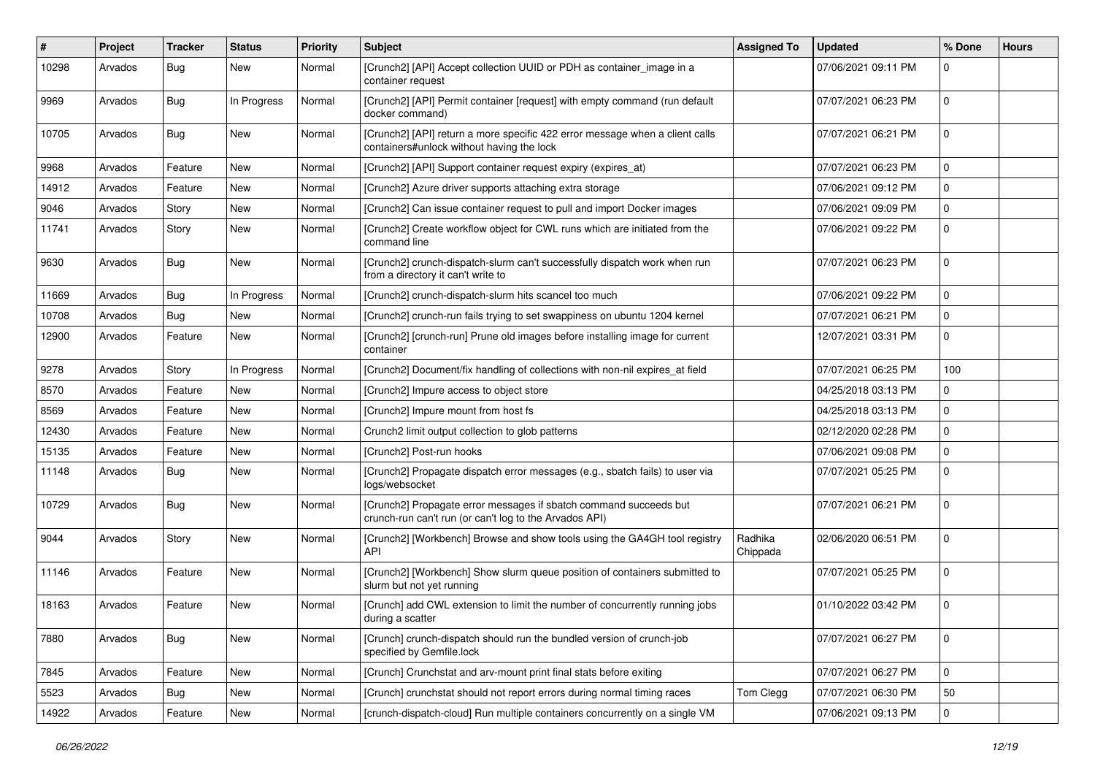| ∦     | Project | <b>Tracker</b> | <b>Status</b> | <b>Priority</b> | Subject                                                                                                                     | <b>Assigned To</b>  | <b>Updated</b>      | % Done      | <b>Hours</b> |
|-------|---------|----------------|---------------|-----------------|-----------------------------------------------------------------------------------------------------------------------------|---------------------|---------------------|-------------|--------------|
| 10298 | Arvados | <b>Bug</b>     | New           | Normal          | [Crunch2] [API] Accept collection UUID or PDH as container_image in a<br>container request                                  |                     | 07/06/2021 09:11 PM | $\Omega$    |              |
| 9969  | Arvados | Bug            | In Progress   | Normal          | [Crunch2] [API] Permit container [request] with empty command (run default<br>docker command)                               |                     | 07/07/2021 06:23 PM | $\mathbf 0$ |              |
| 10705 | Arvados | <b>Bug</b>     | New           | Normal          | [Crunch2] [API] return a more specific 422 error message when a client calls<br>containers#unlock without having the lock   |                     | 07/07/2021 06:21 PM | 0           |              |
| 9968  | Arvados | Feature        | New           | Normal          | [Crunch2] [API] Support container request expiry (expires_at)                                                               |                     | 07/07/2021 06:23 PM | $\mathbf 0$ |              |
| 14912 | Arvados | Feature        | New           | Normal          | [Crunch2] Azure driver supports attaching extra storage                                                                     |                     | 07/06/2021 09:12 PM | $\mathbf 0$ |              |
| 9046  | Arvados | Story          | New           | Normal          | [Crunch2] Can issue container request to pull and import Docker images                                                      |                     | 07/06/2021 09:09 PM | $\mathbf 0$ |              |
| 11741 | Arvados | Story          | New           | Normal          | [Crunch2] Create workflow object for CWL runs which are initiated from the<br>command line                                  |                     | 07/06/2021 09:22 PM | $\mathbf 0$ |              |
| 9630  | Arvados | <b>Bug</b>     | New           | Normal          | [Crunch2] crunch-dispatch-slurm can't successfully dispatch work when run<br>from a directory it can't write to             |                     | 07/07/2021 06:23 PM | $\mathbf 0$ |              |
| 11669 | Arvados | Bug            | In Progress   | Normal          | [Crunch2] crunch-dispatch-slurm hits scancel too much                                                                       |                     | 07/06/2021 09:22 PM | $\mathbf 0$ |              |
| 10708 | Arvados | <b>Bug</b>     | New           | Normal          | [Crunch2] crunch-run fails trying to set swappiness on ubuntu 1204 kernel                                                   |                     | 07/07/2021 06:21 PM | $\mathbf 0$ |              |
| 12900 | Arvados | Feature        | New           | Normal          | [Crunch2] [crunch-run] Prune old images before installing image for current<br>container                                    |                     | 12/07/2021 03:31 PM | $\mathbf 0$ |              |
| 9278  | Arvados | Story          | In Progress   | Normal          | [Crunch2] Document/fix handling of collections with non-nil expires_at field                                                |                     | 07/07/2021 06:25 PM | 100         |              |
| 8570  | Arvados | Feature        | New           | Normal          | [Crunch2] Impure access to object store                                                                                     |                     | 04/25/2018 03:13 PM | 0           |              |
| 8569  | Arvados | Feature        | New           | Normal          | [Crunch2] Impure mount from host fs                                                                                         |                     | 04/25/2018 03:13 PM | $\mathbf 0$ |              |
| 12430 | Arvados | Feature        | New           | Normal          | Crunch2 limit output collection to glob patterns                                                                            |                     | 02/12/2020 02:28 PM | 0           |              |
| 15135 | Arvados | Feature        | New           | Normal          | [Crunch2] Post-run hooks                                                                                                    |                     | 07/06/2021 09:08 PM | $\mathbf 0$ |              |
| 11148 | Arvados | <b>Bug</b>     | New           | Normal          | [Crunch2] Propagate dispatch error messages (e.g., sbatch fails) to user via<br>logs/websocket                              |                     | 07/07/2021 05:25 PM | $\mathbf 0$ |              |
| 10729 | Arvados | Bug            | New           | Normal          | [Crunch2] Propagate error messages if sbatch command succeeds but<br>crunch-run can't run (or can't log to the Arvados API) |                     | 07/07/2021 06:21 PM | $\mathbf 0$ |              |
| 9044  | Arvados | Story          | New           | Normal          | [Crunch2] [Workbench] Browse and show tools using the GA4GH tool registry<br><b>API</b>                                     | Radhika<br>Chippada | 02/06/2020 06:51 PM | $\mathbf 0$ |              |
| 11146 | Arvados | Feature        | New           | Normal          | [Crunch2] [Workbench] Show slurm queue position of containers submitted to<br>slurm but not yet running                     |                     | 07/07/2021 05:25 PM | $\mathbf 0$ |              |
| 18163 | Arvados | Feature        | New           | Normal          | [Crunch] add CWL extension to limit the number of concurrently running jobs<br>during a scatter                             |                     | 01/10/2022 03:42 PM | $\mathbf 0$ |              |
| 7880  | Arvados | Bug            | New           | Normal          | [Crunch] crunch-dispatch should run the bundled version of crunch-job<br>specified by Gemfile.lock                          |                     | 07/07/2021 06:27 PM | 0           |              |
| 7845  | Arvados | Feature        | New           | Normal          | [Crunch] Crunchstat and arv-mount print final stats before exiting                                                          |                     | 07/07/2021 06:27 PM | 0           |              |
| 5523  | Arvados | <b>Bug</b>     | New           | Normal          | [Crunch] crunchstat should not report errors during normal timing races                                                     | Tom Clegg           | 07/07/2021 06:30 PM | 50          |              |
| 14922 | Arvados | Feature        | New           | Normal          | [crunch-dispatch-cloud] Run multiple containers concurrently on a single VM                                                 |                     | 07/06/2021 09:13 PM | $\mathbf 0$ |              |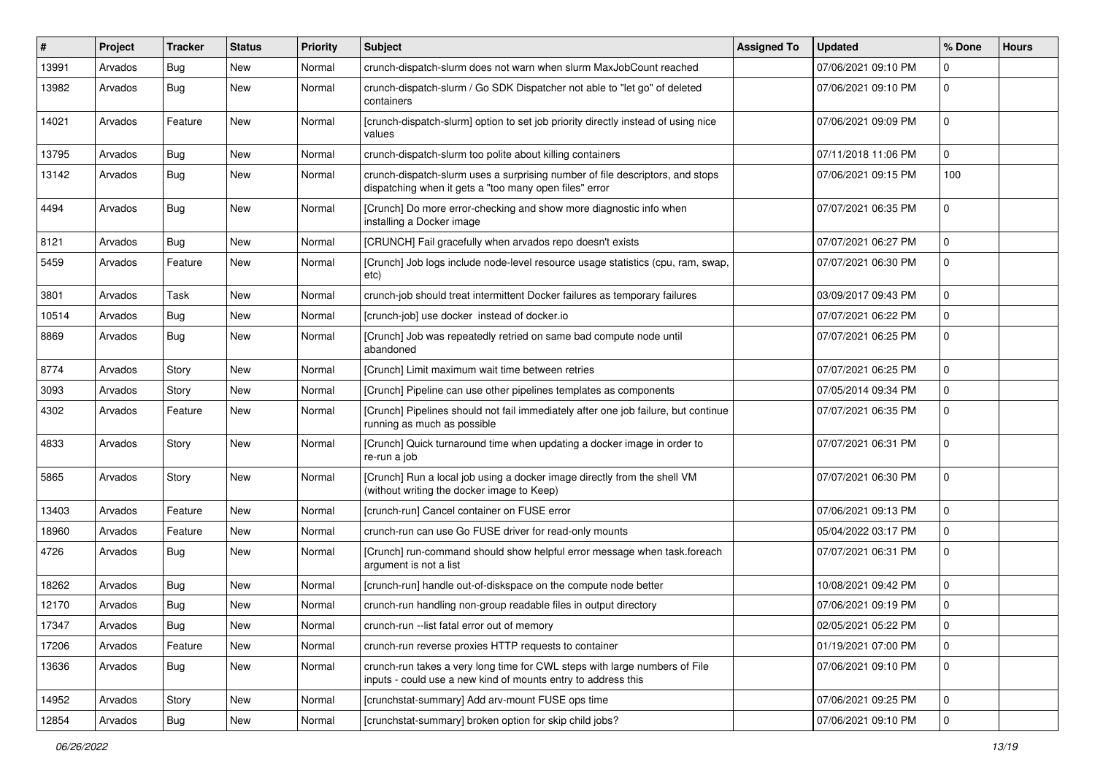| #     | Project | <b>Tracker</b> | <b>Status</b> | <b>Priority</b> | <b>Subject</b>                                                                                                                              | <b>Assigned To</b> | <b>Updated</b>      | % Done       | <b>Hours</b> |
|-------|---------|----------------|---------------|-----------------|---------------------------------------------------------------------------------------------------------------------------------------------|--------------------|---------------------|--------------|--------------|
| 13991 | Arvados | <b>Bug</b>     | New           | Normal          | crunch-dispatch-slurm does not warn when slurm MaxJobCount reached                                                                          |                    | 07/06/2021 09:10 PM | $\Omega$     |              |
| 13982 | Arvados | Bug            | New           | Normal          | crunch-dispatch-slurm / Go SDK Dispatcher not able to "let go" of deleted<br>containers                                                     |                    | 07/06/2021 09:10 PM | $\mathbf 0$  |              |
| 14021 | Arvados | Feature        | New           | Normal          | [crunch-dispatch-slurm] option to set job priority directly instead of using nice<br>values                                                 |                    | 07/06/2021 09:09 PM | $\mathbf 0$  |              |
| 13795 | Arvados | Bug            | <b>New</b>    | Normal          | crunch-dispatch-slurm too polite about killing containers                                                                                   |                    | 07/11/2018 11:06 PM | $\mathbf{0}$ |              |
| 13142 | Arvados | Bug            | New           | Normal          | crunch-dispatch-slurm uses a surprising number of file descriptors, and stops<br>dispatching when it gets a "too many open files" error     |                    | 07/06/2021 09:15 PM | 100          |              |
| 4494  | Arvados | Bug            | New           | Normal          | [Crunch] Do more error-checking and show more diagnostic info when<br>installing a Docker image                                             |                    | 07/07/2021 06:35 PM | $\mathbf 0$  |              |
| 8121  | Arvados | Bug            | New           | Normal          | [CRUNCH] Fail gracefully when arvados repo doesn't exists                                                                                   |                    | 07/07/2021 06:27 PM | $\mathbf 0$  |              |
| 5459  | Arvados | Feature        | New           | Normal          | [Crunch] Job logs include node-level resource usage statistics (cpu, ram, swap,<br>etc)                                                     |                    | 07/07/2021 06:30 PM | $\mathbf 0$  |              |
| 3801  | Arvados | Task           | New           | Normal          | crunch-job should treat intermittent Docker failures as temporary failures                                                                  |                    | 03/09/2017 09:43 PM | $\mathbf 0$  |              |
| 10514 | Arvados | <b>Bug</b>     | New           | Normal          | [crunch-job] use docker instead of docker.io                                                                                                |                    | 07/07/2021 06:22 PM | $\Omega$     |              |
| 8869  | Arvados | <b>Bug</b>     | New           | Normal          | [Crunch] Job was repeatedly retried on same bad compute node until<br>abandoned                                                             |                    | 07/07/2021 06:25 PM | $\mathbf 0$  |              |
| 8774  | Arvados | Story          | New           | Normal          | [Crunch] Limit maximum wait time between retries                                                                                            |                    | 07/07/2021 06:25 PM | $\Omega$     |              |
| 3093  | Arvados | Story          | New           | Normal          | [Crunch] Pipeline can use other pipelines templates as components                                                                           |                    | 07/05/2014 09:34 PM | 0            |              |
| 4302  | Arvados | Feature        | New           | Normal          | [Crunch] Pipelines should not fail immediately after one job failure, but continue<br>running as much as possible                           |                    | 07/07/2021 06:35 PM | $\mathbf 0$  |              |
| 4833  | Arvados | Story          | New           | Normal          | [Crunch] Quick turnaround time when updating a docker image in order to<br>re-run a job                                                     |                    | 07/07/2021 06:31 PM | $\mathbf 0$  |              |
| 5865  | Arvados | Story          | New           | Normal          | [Crunch] Run a local job using a docker image directly from the shell VM<br>(without writing the docker image to Keep)                      |                    | 07/07/2021 06:30 PM | $\mathbf 0$  |              |
| 13403 | Arvados | Feature        | New           | Normal          | [crunch-run] Cancel container on FUSE error                                                                                                 |                    | 07/06/2021 09:13 PM | $\Omega$     |              |
| 18960 | Arvados | Feature        | New           | Normal          | crunch-run can use Go FUSE driver for read-only mounts                                                                                      |                    | 05/04/2022 03:17 PM | $\mathbf 0$  |              |
| 4726  | Arvados | <b>Bug</b>     | New           | Normal          | [Crunch] run-command should show helpful error message when task.foreach<br>argument is not a list                                          |                    | 07/07/2021 06:31 PM | $\mathbf 0$  |              |
| 18262 | Arvados | <b>Bug</b>     | New           | Normal          | [crunch-run] handle out-of-diskspace on the compute node better                                                                             |                    | 10/08/2021 09:42 PM | $\mathbf 0$  |              |
| 12170 | Arvados | <b>Bug</b>     | New           | Normal          | crunch-run handling non-group readable files in output directory                                                                            |                    | 07/06/2021 09:19 PM | $\mathbf 0$  |              |
| 17347 | Arvados | <b>Bug</b>     | New           | Normal          | crunch-run --list fatal error out of memory                                                                                                 |                    | 02/05/2021 05:22 PM | l 0          |              |
| 17206 | Arvados | Feature        | New           | Normal          | crunch-run reverse proxies HTTP requests to container                                                                                       |                    | 01/19/2021 07:00 PM | $\mathbf 0$  |              |
| 13636 | Arvados | Bug            | New           | Normal          | crunch-run takes a very long time for CWL steps with large numbers of File<br>inputs - could use a new kind of mounts entry to address this |                    | 07/06/2021 09:10 PM | 0            |              |
| 14952 | Arvados | Story          | New           | Normal          | [crunchstat-summary] Add arv-mount FUSE ops time                                                                                            |                    | 07/06/2021 09:25 PM | $\mathbf 0$  |              |
| 12854 | Arvados | <b>Bug</b>     | New           | Normal          | [crunchstat-summary] broken option for skip child jobs?                                                                                     |                    | 07/06/2021 09:10 PM | 0            |              |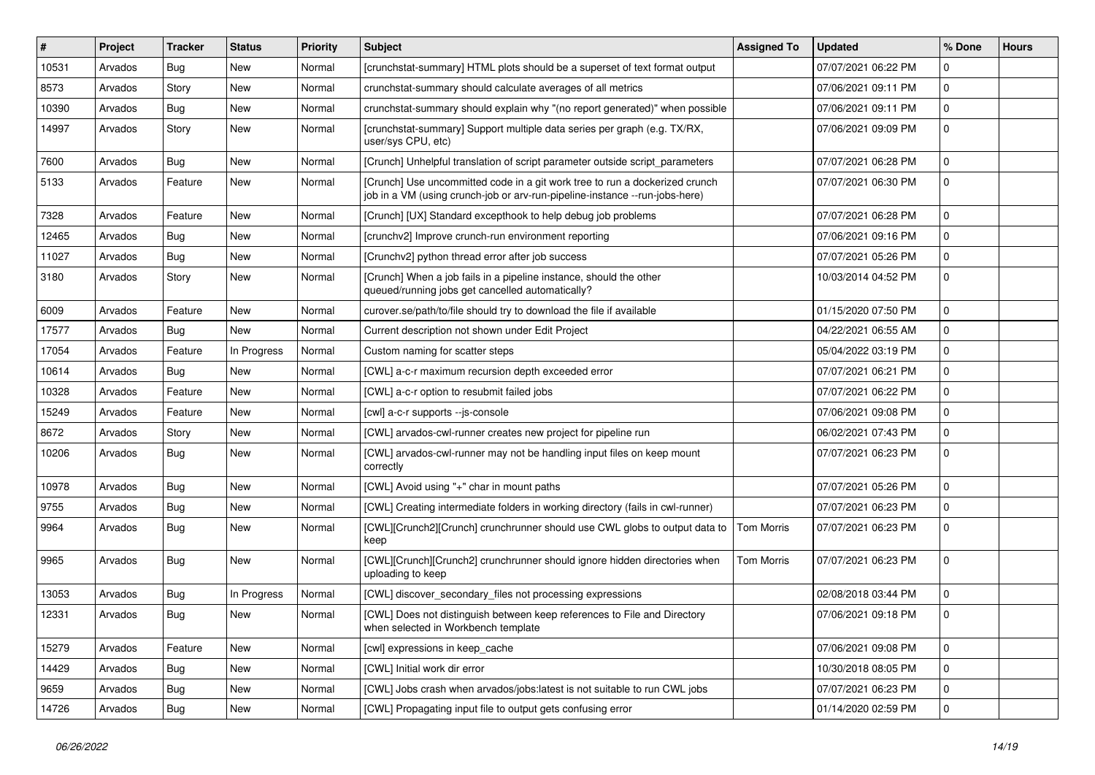| #     | Project | <b>Tracker</b> | <b>Status</b> | <b>Priority</b> | <b>Subject</b>                                                                                                                                             | <b>Assigned To</b> | <b>Updated</b>      | % Done      | <b>Hours</b> |
|-------|---------|----------------|---------------|-----------------|------------------------------------------------------------------------------------------------------------------------------------------------------------|--------------------|---------------------|-------------|--------------|
| 10531 | Arvados | <b>Bug</b>     | New           | Normal          | [crunchstat-summary] HTML plots should be a superset of text format output                                                                                 |                    | 07/07/2021 06:22 PM | 0           |              |
| 8573  | Arvados | Story          | New           | Normal          | crunchstat-summary should calculate averages of all metrics                                                                                                |                    | 07/06/2021 09:11 PM | 0           |              |
| 10390 | Arvados | Bug            | New           | Normal          | crunchstat-summary should explain why "(no report generated)" when possible                                                                                |                    | 07/06/2021 09:11 PM | 0           |              |
| 14997 | Arvados | Story          | New           | Normal          | [crunchstat-summary] Support multiple data series per graph (e.g. TX/RX,<br>user/sys CPU, etc)                                                             |                    | 07/06/2021 09:09 PM | 0           |              |
| 7600  | Arvados | <b>Bug</b>     | New           | Normal          | [Crunch] Unhelpful translation of script parameter outside script parameters                                                                               |                    | 07/07/2021 06:28 PM | 0           |              |
| 5133  | Arvados | Feature        | New           | Normal          | [Crunch] Use uncommitted code in a git work tree to run a dockerized crunch<br>job in a VM (using crunch-job or arv-run-pipeline-instance --run-jobs-here) |                    | 07/07/2021 06:30 PM | 0           |              |
| 7328  | Arvados | Feature        | New           | Normal          | [Crunch] [UX] Standard excepthook to help debug job problems                                                                                               |                    | 07/07/2021 06:28 PM | 0           |              |
| 12465 | Arvados | <b>Bug</b>     | New           | Normal          | [crunchv2] Improve crunch-run environment reporting                                                                                                        |                    | 07/06/2021 09:16 PM | 0           |              |
| 11027 | Arvados | Bug            | New           | Normal          | [Crunchv2] python thread error after job success                                                                                                           |                    | 07/07/2021 05:26 PM | $\mathbf 0$ |              |
| 3180  | Arvados | Story          | New           | Normal          | [Crunch] When a job fails in a pipeline instance, should the other<br>queued/running jobs get cancelled automatically?                                     |                    | 10/03/2014 04:52 PM | 0           |              |
| 6009  | Arvados | Feature        | New           | Normal          | curover.se/path/to/file should try to download the file if available                                                                                       |                    | 01/15/2020 07:50 PM | 0           |              |
| 17577 | Arvados | Bug            | New           | Normal          | Current description not shown under Edit Project                                                                                                           |                    | 04/22/2021 06:55 AM | 0           |              |
| 17054 | Arvados | Feature        | In Progress   | Normal          | Custom naming for scatter steps                                                                                                                            |                    | 05/04/2022 03:19 PM | 0           |              |
| 10614 | Arvados | Bug            | New           | Normal          | [CWL] a-c-r maximum recursion depth exceeded error                                                                                                         |                    | 07/07/2021 06:21 PM | 0           |              |
| 10328 | Arvados | Feature        | New           | Normal          | [CWL] a-c-r option to resubmit failed jobs                                                                                                                 |                    | 07/07/2021 06:22 PM | 0           |              |
| 15249 | Arvados | Feature        | New           | Normal          | [cwl] a-c-r supports --js-console                                                                                                                          |                    | 07/06/2021 09:08 PM | 0           |              |
| 8672  | Arvados | Story          | New           | Normal          | [CWL] arvados-cwl-runner creates new project for pipeline run                                                                                              |                    | 06/02/2021 07:43 PM | 0           |              |
| 10206 | Arvados | <b>Bug</b>     | New           | Normal          | [CWL] arvados-cwl-runner may not be handling input files on keep mount<br>correctly                                                                        |                    | 07/07/2021 06:23 PM | $\mathbf 0$ |              |
| 10978 | Arvados | Bug            | New           | Normal          | [CWL] Avoid using "+" char in mount paths                                                                                                                  |                    | 07/07/2021 05:26 PM | 0           |              |
| 9755  | Arvados | <b>Bug</b>     | New           | Normal          | [CWL] Creating intermediate folders in working directory (fails in cwl-runner)                                                                             |                    | 07/07/2021 06:23 PM | 0           |              |
| 9964  | Arvados | <b>Bug</b>     | New           | Normal          | [CWL][Crunch2][Crunch] crunchrunner should use CWL globs to output data to<br>keep                                                                         | <b>Tom Morris</b>  | 07/07/2021 06:23 PM | $\mathbf 0$ |              |
| 9965  | Arvados | <b>Bug</b>     | New           | Normal          | [CWL][Crunch][Crunch2] crunchrunner should ignore hidden directories when<br>uploading to keep                                                             | <b>Tom Morris</b>  | 07/07/2021 06:23 PM | 0           |              |
| 13053 | Arvados | <b>Bug</b>     | In Progress   | Normal          | [CWL] discover_secondary_files not processing expressions                                                                                                  |                    | 02/08/2018 03:44 PM | 0           |              |
| 12331 | Arvados | <b>Bug</b>     | New           | Normal          | [CWL] Does not distinguish between keep references to File and Directory<br>when selected in Workbench template                                            |                    | 07/06/2021 09:18 PM | $\mathbf 0$ |              |
| 15279 | Arvados | Feature        | New           | Normal          | [cwl] expressions in keep_cache                                                                                                                            |                    | 07/06/2021 09:08 PM | $\mathbf 0$ |              |
| 14429 | Arvados | <b>Bug</b>     | New           | Normal          | [CWL] Initial work dir error                                                                                                                               |                    | 10/30/2018 08:05 PM | 0           |              |
| 9659  | Arvados | <b>Bug</b>     | New           | Normal          | [CWL] Jobs crash when arvados/jobs:latest is not suitable to run CWL jobs                                                                                  |                    | 07/07/2021 06:23 PM | 0           |              |
| 14726 | Arvados | <b>Bug</b>     | New           | Normal          | [CWL] Propagating input file to output gets confusing error                                                                                                |                    | 01/14/2020 02:59 PM | 0           |              |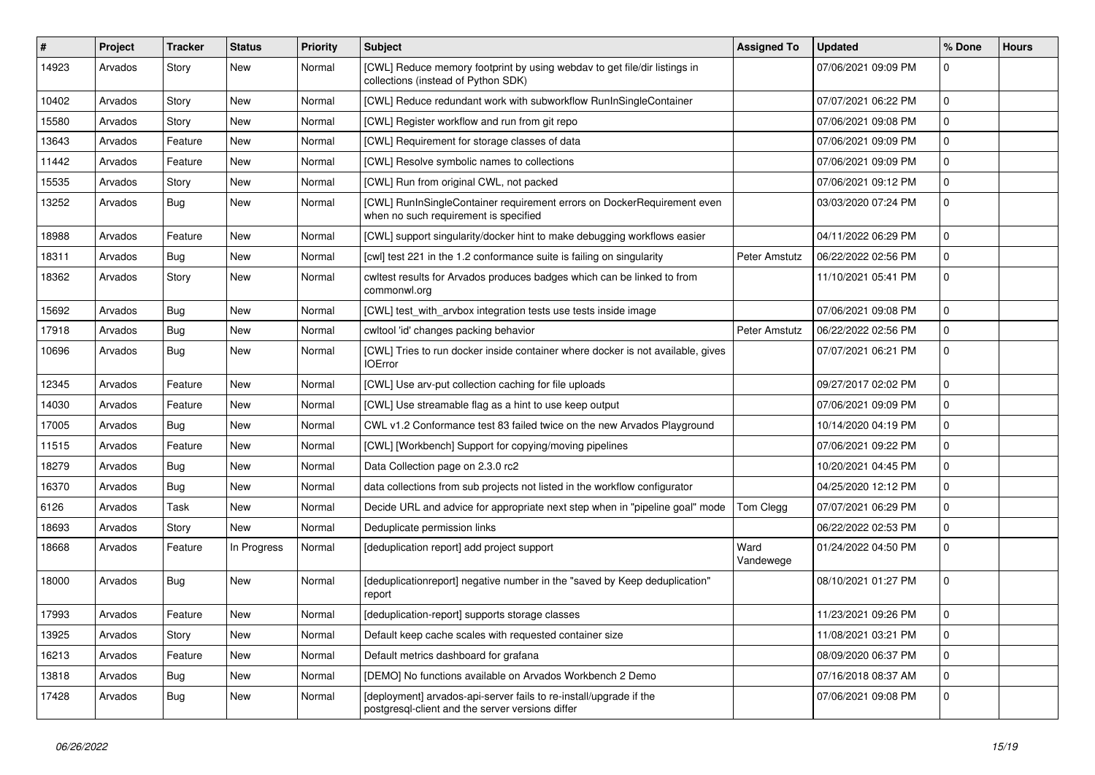| #     | Project | <b>Tracker</b> | <b>Status</b> | <b>Priority</b> | <b>Subject</b>                                                                                                         | <b>Assigned To</b> | <b>Updated</b>      | % Done      | <b>Hours</b> |
|-------|---------|----------------|---------------|-----------------|------------------------------------------------------------------------------------------------------------------------|--------------------|---------------------|-------------|--------------|
| 14923 | Arvados | Story          | New           | Normal          | [CWL] Reduce memory footprint by using webdav to get file/dir listings in<br>collections (instead of Python SDK)       |                    | 07/06/2021 09:09 PM | 0           |              |
| 10402 | Arvados | Story          | New           | Normal          | [CWL] Reduce redundant work with subworkflow RunInSingleContainer                                                      |                    | 07/07/2021 06:22 PM | $\mathbf 0$ |              |
| 15580 | Arvados | Story          | New           | Normal          | [CWL] Register workflow and run from git repo                                                                          |                    | 07/06/2021 09:08 PM | $\mathbf 0$ |              |
| 13643 | Arvados | Feature        | New           | Normal          | [CWL] Requirement for storage classes of data                                                                          |                    | 07/06/2021 09:09 PM | $\mathbf 0$ |              |
| 11442 | Arvados | Feature        | New           | Normal          | [CWL] Resolve symbolic names to collections                                                                            |                    | 07/06/2021 09:09 PM | 0           |              |
| 15535 | Arvados | Story          | New           | Normal          | [CWL] Run from original CWL, not packed                                                                                |                    | 07/06/2021 09:12 PM | $\mathbf 0$ |              |
| 13252 | Arvados | <b>Bug</b>     | New           | Normal          | [CWL] RunInSingleContainer requirement errors on DockerRequirement even<br>when no such requirement is specified       |                    | 03/03/2020 07:24 PM | 0           |              |
| 18988 | Arvados | Feature        | New           | Normal          | [CWL] support singularity/docker hint to make debugging workflows easier                                               |                    | 04/11/2022 06:29 PM | $\mathbf 0$ |              |
| 18311 | Arvados | Bug            | New           | Normal          | [cwl] test 221 in the 1.2 conformance suite is failing on singularity                                                  | Peter Amstutz      | 06/22/2022 02:56 PM | 0           |              |
| 18362 | Arvados | Story          | New           | Normal          | cwltest results for Arvados produces badges which can be linked to from<br>commonwl.org                                |                    | 11/10/2021 05:41 PM | $\mathbf 0$ |              |
| 15692 | Arvados | <b>Bug</b>     | New           | Normal          | [CWL] test_with_arvbox integration tests use tests inside image                                                        |                    | 07/06/2021 09:08 PM | 0           |              |
| 17918 | Arvados | Bug            | New           | Normal          | cwltool 'id' changes packing behavior                                                                                  | Peter Amstutz      | 06/22/2022 02:56 PM | $\mathbf 0$ |              |
| 10696 | Arvados | Bug            | New           | Normal          | [CWL] Tries to run docker inside container where docker is not available, gives<br><b>IOError</b>                      |                    | 07/07/2021 06:21 PM | 0           |              |
| 12345 | Arvados | Feature        | New           | Normal          | [CWL] Use arv-put collection caching for file uploads                                                                  |                    | 09/27/2017 02:02 PM | $\mathbf 0$ |              |
| 14030 | Arvados | Feature        | New           | Normal          | [CWL] Use streamable flag as a hint to use keep output                                                                 |                    | 07/06/2021 09:09 PM | $\mathbf 0$ |              |
| 17005 | Arvados | <b>Bug</b>     | New           | Normal          | CWL v1.2 Conformance test 83 failed twice on the new Arvados Playground                                                |                    | 10/14/2020 04:19 PM | $\mathbf 0$ |              |
| 11515 | Arvados | Feature        | New           | Normal          | [CWL] [Workbench] Support for copying/moving pipelines                                                                 |                    | 07/06/2021 09:22 PM | $\mathbf 0$ |              |
| 18279 | Arvados | Bug            | New           | Normal          | Data Collection page on 2.3.0 rc2                                                                                      |                    | 10/20/2021 04:45 PM | $\mathbf 0$ |              |
| 16370 | Arvados | Bug            | New           | Normal          | data collections from sub projects not listed in the workflow configurator                                             |                    | 04/25/2020 12:12 PM | $\mathbf 0$ |              |
| 6126  | Arvados | Task           | New           | Normal          | Decide URL and advice for appropriate next step when in "pipeline goal" mode                                           | Tom Clegg          | 07/07/2021 06:29 PM | 0           |              |
| 18693 | Arvados | Story          | New           | Normal          | Deduplicate permission links                                                                                           |                    | 06/22/2022 02:53 PM | $\mathbf 0$ |              |
| 18668 | Arvados | Feature        | In Progress   | Normal          | [deduplication report] add project support                                                                             | Ward<br>Vandewege  | 01/24/2022 04:50 PM | $\mathbf 0$ |              |
| 18000 | Arvados | <b>Bug</b>     | New           | Normal          | [deduplicationreport] negative number in the "saved by Keep deduplication"<br>report                                   |                    | 08/10/2021 01:27 PM | $\mathbf 0$ |              |
| 17993 | Arvados | Feature        | New           | Normal          | [deduplication-report] supports storage classes                                                                        |                    | 11/23/2021 09:26 PM | $\mathbf 0$ |              |
| 13925 | Arvados | Story          | New           | Normal          | Default keep cache scales with requested container size                                                                |                    | 11/08/2021 03:21 PM | 0           |              |
| 16213 | Arvados | Feature        | New           | Normal          | Default metrics dashboard for grafana                                                                                  |                    | 08/09/2020 06:37 PM | 0           |              |
| 13818 | Arvados | Bug            | New           | Normal          | [DEMO] No functions available on Arvados Workbench 2 Demo                                                              |                    | 07/16/2018 08:37 AM | $\mathbf 0$ |              |
| 17428 | Arvados | <b>Bug</b>     | New           | Normal          | [deployment] arvados-api-server fails to re-install/upgrade if the<br>postgresql-client and the server versions differ |                    | 07/06/2021 09:08 PM | 0           |              |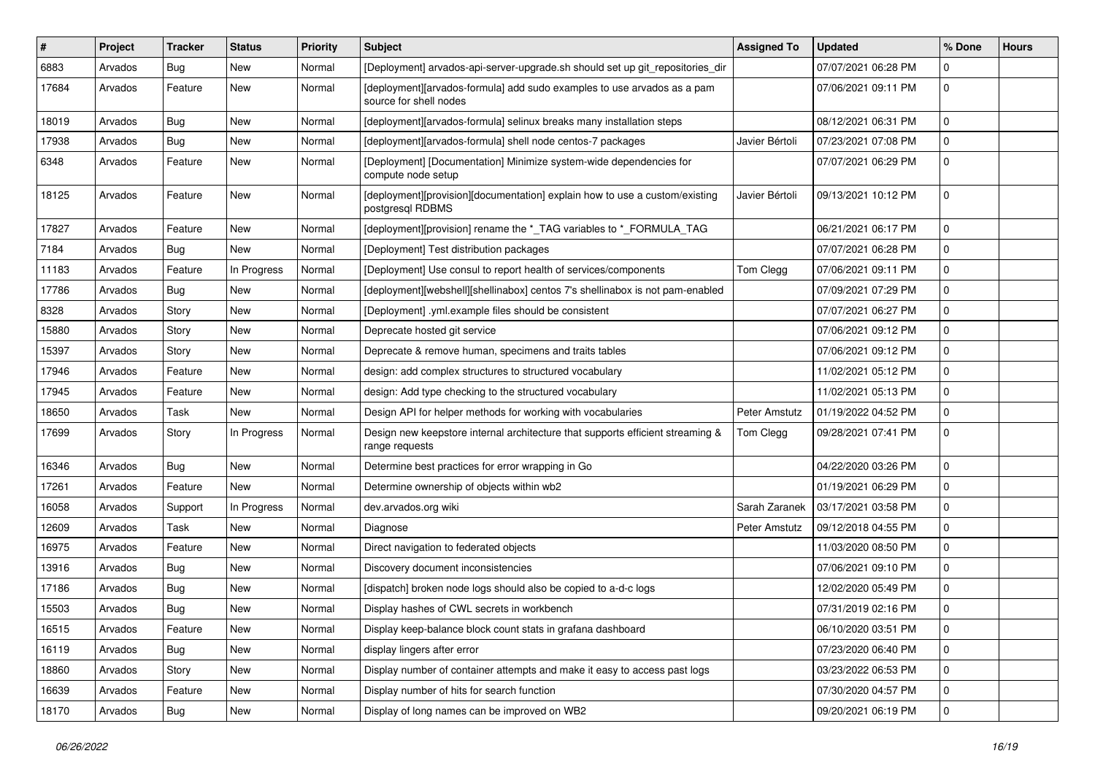| ∦     | <b>Project</b> | <b>Tracker</b> | <b>Status</b> | <b>Priority</b> | <b>Subject</b>                                                                                    | <b>Assigned To</b> | <b>Updated</b>      | % Done      | <b>Hours</b> |
|-------|----------------|----------------|---------------|-----------------|---------------------------------------------------------------------------------------------------|--------------------|---------------------|-------------|--------------|
| 6883  | Arvados        | <b>Bug</b>     | New           | Normal          | [Deployment] arvados-api-server-upgrade.sh should set up git_repositories_dir                     |                    | 07/07/2021 06:28 PM | $\Omega$    |              |
| 17684 | Arvados        | Feature        | New           | Normal          | [deployment][arvados-formula] add sudo examples to use arvados as a pam<br>source for shell nodes |                    | 07/06/2021 09:11 PM | $\mathbf 0$ |              |
| 18019 | Arvados        | <b>Bug</b>     | New           | Normal          | [deployment][arvados-formula] selinux breaks many installation steps                              |                    | 08/12/2021 06:31 PM | $\mathbf 0$ |              |
| 17938 | Arvados        | <b>Bug</b>     | New           | Normal          | [deployment][arvados-formula] shell node centos-7 packages                                        | Javier Bértoli     | 07/23/2021 07:08 PM | $\mathbf 0$ |              |
| 6348  | Arvados        | Feature        | New           | Normal          | [Deployment] [Documentation] Minimize system-wide dependencies for<br>compute node setup          |                    | 07/07/2021 06:29 PM | $\mathbf 0$ |              |
| 18125 | Arvados        | Feature        | New           | Normal          | [deployment][provision][documentation] explain how to use a custom/existing<br>postgresql RDBMS   | Javier Bértoli     | 09/13/2021 10:12 PM | $\mathbf 0$ |              |
| 17827 | Arvados        | Feature        | New           | Normal          | [deployment][provision] rename the *_TAG variables to *_FORMULA_TAG                               |                    | 06/21/2021 06:17 PM | $\mathbf 0$ |              |
| 7184  | Arvados        | <b>Bug</b>     | New           | Normal          | [Deployment] Test distribution packages                                                           |                    | 07/07/2021 06:28 PM | $\mathbf 0$ |              |
| 11183 | Arvados        | Feature        | In Progress   | Normal          | [Deployment] Use consul to report health of services/components                                   | Tom Clegg          | 07/06/2021 09:11 PM | $\mathbf 0$ |              |
| 17786 | Arvados        | Bug            | New           | Normal          | [deployment][webshell][shellinabox] centos 7's shellinabox is not pam-enabled                     |                    | 07/09/2021 07:29 PM | $\mathbf 0$ |              |
| 8328  | Arvados        | Story          | New           | Normal          | [Deployment] .yml.example files should be consistent                                              |                    | 07/07/2021 06:27 PM | $\mathbf 0$ |              |
| 15880 | Arvados        | Story          | New           | Normal          | Deprecate hosted git service                                                                      |                    | 07/06/2021 09:12 PM | $\mathbf 0$ |              |
| 15397 | Arvados        | Story          | New           | Normal          | Deprecate & remove human, specimens and traits tables                                             |                    | 07/06/2021 09:12 PM | $\mathbf 0$ |              |
| 17946 | Arvados        | Feature        | New           | Normal          | design: add complex structures to structured vocabulary                                           |                    | 11/02/2021 05:12 PM | $\mathbf 0$ |              |
| 17945 | Arvados        | Feature        | New           | Normal          | design: Add type checking to the structured vocabulary                                            |                    | 11/02/2021 05:13 PM | $\mathbf 0$ |              |
| 18650 | Arvados        | Task           | New           | Normal          | Design API for helper methods for working with vocabularies                                       | Peter Amstutz      | 01/19/2022 04:52 PM | $\mathbf 0$ |              |
| 17699 | Arvados        | Story          | In Progress   | Normal          | Design new keepstore internal architecture that supports efficient streaming &<br>range requests  | Tom Clegg          | 09/28/2021 07:41 PM | $\mathbf 0$ |              |
| 16346 | Arvados        | Bug            | New           | Normal          | Determine best practices for error wrapping in Go                                                 |                    | 04/22/2020 03:26 PM | $\mathbf 0$ |              |
| 17261 | Arvados        | Feature        | New           | Normal          | Determine ownership of objects within wb2                                                         |                    | 01/19/2021 06:29 PM | $\mathbf 0$ |              |
| 16058 | Arvados        | Support        | In Progress   | Normal          | dev.arvados.org wiki                                                                              | Sarah Zaranek      | 03/17/2021 03:58 PM | $\mathbf 0$ |              |
| 12609 | Arvados        | Task           | New           | Normal          | Diagnose                                                                                          | Peter Amstutz      | 09/12/2018 04:55 PM | $\mathbf 0$ |              |
| 16975 | Arvados        | Feature        | New           | Normal          | Direct navigation to federated objects                                                            |                    | 11/03/2020 08:50 PM | $\mathbf 0$ |              |
| 13916 | Arvados        | Bug            | New           | Normal          | Discovery document inconsistencies                                                                |                    | 07/06/2021 09:10 PM | $\mathbf 0$ |              |
| 17186 | Arvados        | <b>Bug</b>     | New           | Normal          | [dispatch] broken node logs should also be copied to a-d-c logs                                   |                    | 12/02/2020 05:49 PM | $\mathbf 0$ |              |
| 15503 | Arvados        | <b>Bug</b>     | New           | Normal          | Display hashes of CWL secrets in workbench                                                        |                    | 07/31/2019 02:16 PM | 0           |              |
| 16515 | Arvados        | Feature        | New           | Normal          | Display keep-balance block count stats in grafana dashboard                                       |                    | 06/10/2020 03:51 PM | 0           |              |
| 16119 | Arvados        | <b>Bug</b>     | New           | Normal          | display lingers after error                                                                       |                    | 07/23/2020 06:40 PM | $\mathbf 0$ |              |
| 18860 | Arvados        | Story          | New           | Normal          | Display number of container attempts and make it easy to access past logs                         |                    | 03/23/2022 06:53 PM | 0           |              |
| 16639 | Arvados        | Feature        | New           | Normal          | Display number of hits for search function                                                        |                    | 07/30/2020 04:57 PM | 0           |              |
| 18170 | Arvados        | <b>Bug</b>     | New           | Normal          | Display of long names can be improved on WB2                                                      |                    | 09/20/2021 06:19 PM | $\mathbf 0$ |              |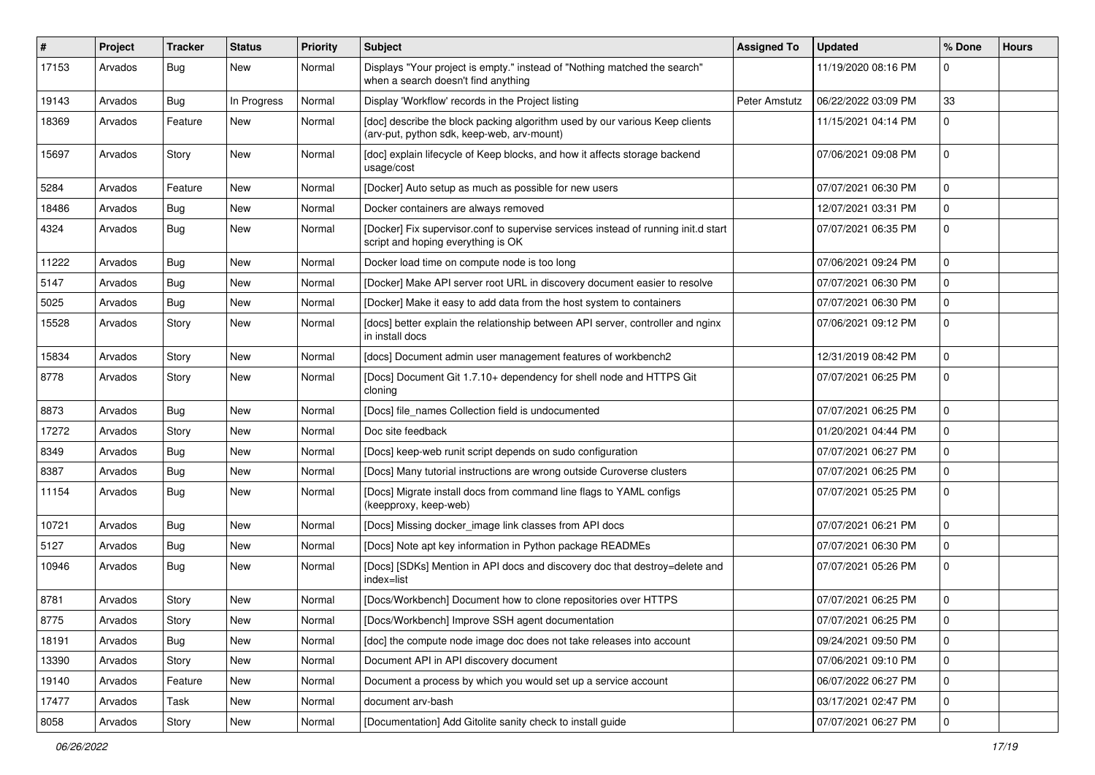| #     | <b>Project</b> | <b>Tracker</b> | <b>Status</b> | <b>Priority</b> | <b>Subject</b>                                                                                                            | <b>Assigned To</b> | <b>Updated</b>      | % Done      | <b>Hours</b> |
|-------|----------------|----------------|---------------|-----------------|---------------------------------------------------------------------------------------------------------------------------|--------------------|---------------------|-------------|--------------|
| 17153 | Arvados        | <b>Bug</b>     | New           | Normal          | Displays "Your project is empty." instead of "Nothing matched the search"<br>when a search doesn't find anything          |                    | 11/19/2020 08:16 PM | 0           |              |
| 19143 | Arvados        | <b>Bug</b>     | In Progress   | Normal          | Display 'Workflow' records in the Project listing                                                                         | Peter Amstutz      | 06/22/2022 03:09 PM | 33          |              |
| 18369 | Arvados        | Feature        | New           | Normal          | [doc] describe the block packing algorithm used by our various Keep clients<br>(arv-put, python sdk, keep-web, arv-mount) |                    | 11/15/2021 04:14 PM | $\Omega$    |              |
| 15697 | Arvados        | Story          | New           | Normal          | [doc] explain lifecycle of Keep blocks, and how it affects storage backend<br>usage/cost                                  |                    | 07/06/2021 09:08 PM | $\mathbf 0$ |              |
| 5284  | Arvados        | Feature        | New           | Normal          | [Docker] Auto setup as much as possible for new users                                                                     |                    | 07/07/2021 06:30 PM | $\mathbf 0$ |              |
| 18486 | Arvados        | <b>Bug</b>     | New           | Normal          | Docker containers are always removed                                                                                      |                    | 12/07/2021 03:31 PM | $\Omega$    |              |
| 4324  | Arvados        | Bug            | New           | Normal          | [Docker] Fix supervisor.conf to supervise services instead of running init.d start<br>script and hoping everything is OK  |                    | 07/07/2021 06:35 PM | $\mathbf 0$ |              |
| 11222 | Arvados        | Bug            | New           | Normal          | Docker load time on compute node is too long                                                                              |                    | 07/06/2021 09:24 PM | $\Omega$    |              |
| 5147  | Arvados        | <b>Bug</b>     | New           | Normal          | [Docker] Make API server root URL in discovery document easier to resolve                                                 |                    | 07/07/2021 06:30 PM | 0           |              |
| 5025  | Arvados        | <b>Bug</b>     | New           | Normal          | [Docker] Make it easy to add data from the host system to containers                                                      |                    | 07/07/2021 06:30 PM | $\mathbf 0$ |              |
| 15528 | Arvados        | Story          | New           | Normal          | [docs] better explain the relationship between API server, controller and nginx<br>in install docs                        |                    | 07/06/2021 09:12 PM | $\Omega$    |              |
| 15834 | Arvados        | Story          | New           | Normal          | [docs] Document admin user management features of workbench2                                                              |                    | 12/31/2019 08:42 PM | $\Omega$    |              |
| 8778  | Arvados        | Story          | New           | Normal          | [Docs] Document Git 1.7.10+ dependency for shell node and HTTPS Git<br>cloning                                            |                    | 07/07/2021 06:25 PM | $\mathbf 0$ |              |
| 8873  | Arvados        | Bug            | New           | Normal          | [Docs] file_names Collection field is undocumented                                                                        |                    | 07/07/2021 06:25 PM | $\mathbf 0$ |              |
| 17272 | Arvados        | Story          | New           | Normal          | Doc site feedback                                                                                                         |                    | 01/20/2021 04:44 PM | $\mathbf 0$ |              |
| 8349  | Arvados        | <b>Bug</b>     | New           | Normal          | [Docs] keep-web runit script depends on sudo configuration                                                                |                    | 07/07/2021 06:27 PM | $\mathbf 0$ |              |
| 8387  | Arvados        | <b>Bug</b>     | New           | Normal          | [Docs] Many tutorial instructions are wrong outside Curoverse clusters                                                    |                    | 07/07/2021 06:25 PM | $\Omega$    |              |
| 11154 | Arvados        | <b>Bug</b>     | New           | Normal          | [Docs] Migrate install docs from command line flags to YAML configs<br>(keepproxy, keep-web)                              |                    | 07/07/2021 05:25 PM | $\mathbf 0$ |              |
| 10721 | Arvados        | <b>Bug</b>     | New           | Normal          | [Docs] Missing docker_image link classes from API docs                                                                    |                    | 07/07/2021 06:21 PM | $\mathbf 0$ |              |
| 5127  | Arvados        | <b>Bug</b>     | New           | Normal          | [Docs] Note apt key information in Python package READMEs                                                                 |                    | 07/07/2021 06:30 PM | $\mathbf 0$ |              |
| 10946 | Arvados        | <b>Bug</b>     | New           | Normal          | [Docs] [SDKs] Mention in API docs and discovery doc that destroy=delete and<br>index=list                                 |                    | 07/07/2021 05:26 PM | $\mathbf 0$ |              |
| 8781  | Arvados        | Story          | New           | Normal          | [Docs/Workbench] Document how to clone repositories over HTTPS                                                            |                    | 07/07/2021 06:25 PM | $\mathbf 0$ |              |
| 8775  | Arvados        | Story          | New           | Normal          | [Docs/Workbench] Improve SSH agent documentation                                                                          |                    | 07/07/2021 06:25 PM |             |              |
| 18191 | Arvados        | <b>Bug</b>     | New           | Normal          | [doc] the compute node image doc does not take releases into account                                                      |                    | 09/24/2021 09:50 PM | $\mathbf 0$ |              |
| 13390 | Arvados        | Story          | New           | Normal          | Document API in API discovery document                                                                                    |                    | 07/06/2021 09:10 PM | $\mathbf 0$ |              |
| 19140 | Arvados        | Feature        | New           | Normal          | Document a process by which you would set up a service account                                                            |                    | 06/07/2022 06:27 PM | $\mathbf 0$ |              |
| 17477 | Arvados        | Task           | New           | Normal          | document arv-bash                                                                                                         |                    | 03/17/2021 02:47 PM | 0           |              |
| 8058  | Arvados        | Story          | New           | Normal          | [Documentation] Add Gitolite sanity check to install guide                                                                |                    | 07/07/2021 06:27 PM | 0           |              |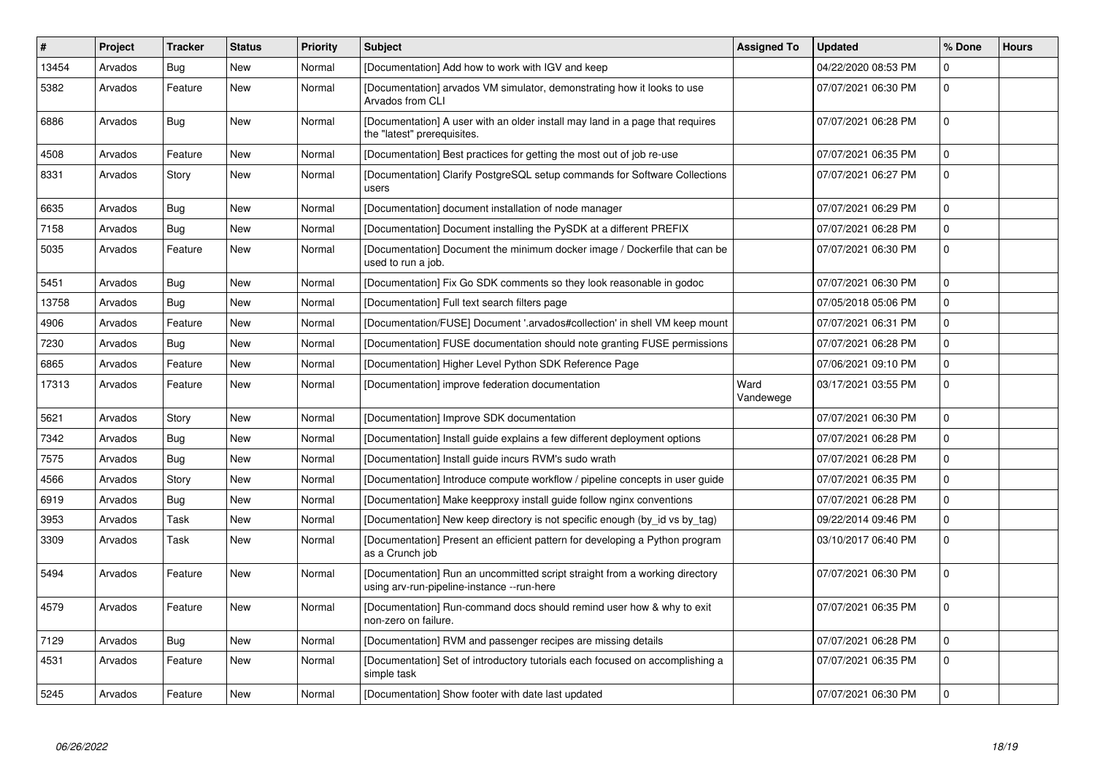| #     | Project | Tracker    | <b>Status</b> | <b>Priority</b> | <b>Subject</b>                                                                                                            | <b>Assigned To</b> | <b>Updated</b>      | % Done      | <b>Hours</b> |
|-------|---------|------------|---------------|-----------------|---------------------------------------------------------------------------------------------------------------------------|--------------------|---------------------|-------------|--------------|
| 13454 | Arvados | Bug        | <b>New</b>    | Normal          | [Documentation] Add how to work with IGV and keep                                                                         |                    | 04/22/2020 08:53 PM | $\Omega$    |              |
| 5382  | Arvados | Feature    | New           | Normal          | [Documentation] arvados VM simulator, demonstrating how it looks to use<br>Arvados from CLI                               |                    | 07/07/2021 06:30 PM | $\Omega$    |              |
| 6886  | Arvados | <b>Bug</b> | <b>New</b>    | Normal          | [Documentation] A user with an older install may land in a page that requires<br>the "latest" prerequisites.              |                    | 07/07/2021 06:28 PM | 0           |              |
| 4508  | Arvados | Feature    | <b>New</b>    | Normal          | [Documentation] Best practices for getting the most out of job re-use                                                     |                    | 07/07/2021 06:35 PM | $\mathbf 0$ |              |
| 8331  | Arvados | Story      | <b>New</b>    | Normal          | [Documentation] Clarify PostgreSQL setup commands for Software Collections<br>users                                       |                    | 07/07/2021 06:27 PM | $\mathbf 0$ |              |
| 6635  | Arvados | Bug        | <b>New</b>    | Normal          | [Documentation] document installation of node manager                                                                     |                    | 07/07/2021 06:29 PM | $\Omega$    |              |
| 7158  | Arvados | <b>Bug</b> | New           | Normal          | [Documentation] Document installing the PySDK at a different PREFIX                                                       |                    | 07/07/2021 06:28 PM | $\Omega$    |              |
| 5035  | Arvados | Feature    | New           | Normal          | [Documentation] Document the minimum docker image / Dockerfile that can be<br>used to run a job.                          |                    | 07/07/2021 06:30 PM | $\mathbf 0$ |              |
| 5451  | Arvados | <b>Bug</b> | New           | Normal          | [Documentation] Fix Go SDK comments so they look reasonable in godoc                                                      |                    | 07/07/2021 06:30 PM | $\mathbf 0$ |              |
| 13758 | Arvados | Bug        | <b>New</b>    | Normal          | [Documentation] Full text search filters page                                                                             |                    | 07/05/2018 05:06 PM | $\mathbf 0$ |              |
| 4906  | Arvados | Feature    | New           | Normal          | [Documentation/FUSE] Document '.arvados#collection' in shell VM keep mount                                                |                    | 07/07/2021 06:31 PM | $\Omega$    |              |
| 7230  | Arvados | <b>Bug</b> | <b>New</b>    | Normal          | [Documentation] FUSE documentation should note granting FUSE permissions                                                  |                    | 07/07/2021 06:28 PM | $\Omega$    |              |
| 6865  | Arvados | Feature    | New           | Normal          | [Documentation] Higher Level Python SDK Reference Page                                                                    |                    | 07/06/2021 09:10 PM | 0           |              |
| 17313 | Arvados | Feature    | New           | Normal          | [Documentation] improve federation documentation                                                                          | Ward<br>Vandewege  | 03/17/2021 03:55 PM | 0           |              |
| 5621  | Arvados | Story      | <b>New</b>    | Normal          | [Documentation] Improve SDK documentation                                                                                 |                    | 07/07/2021 06:30 PM | 0           |              |
| 7342  | Arvados | Bug        | New           | Normal          | [Documentation] Install guide explains a few different deployment options                                                 |                    | 07/07/2021 06:28 PM | $\Omega$    |              |
| 7575  | Arvados | Bug        | New           | Normal          | [Documentation] Install guide incurs RVM's sudo wrath                                                                     |                    | 07/07/2021 06:28 PM | $\mathbf 0$ |              |
| 4566  | Arvados | Story      | <b>New</b>    | Normal          | [Documentation] Introduce compute workflow / pipeline concepts in user quide                                              |                    | 07/07/2021 06:35 PM | $\Omega$    |              |
| 6919  | Arvados | <b>Bug</b> | New           | Normal          | [Documentation] Make keepproxy install guide follow nginx conventions                                                     |                    | 07/07/2021 06:28 PM | $\Omega$    |              |
| 3953  | Arvados | Task       | New           | Normal          | [Documentation] New keep directory is not specific enough (by_id vs by_tag)                                               |                    | 09/22/2014 09:46 PM | $\mathbf 0$ |              |
| 3309  | Arvados | Task       | <b>New</b>    | Normal          | [Documentation] Present an efficient pattern for developing a Python program<br>as a Crunch job                           |                    | 03/10/2017 06:40 PM | 0           |              |
| 5494  | Arvados | Feature    | <b>New</b>    | Normal          | [Documentation] Run an uncommitted script straight from a working directory<br>using arv-run-pipeline-instance --run-here |                    | 07/07/2021 06:30 PM | $\Omega$    |              |
| 4579  | Arvados | Feature    | New           | Normal          | [Documentation] Run-command docs should remind user how & why to exit<br>non-zero on failure.                             |                    | 07/07/2021 06:35 PM | 0           |              |
| 7129  | Arvados | <b>Bug</b> | New           | Normal          | [Documentation] RVM and passenger recipes are missing details                                                             |                    | 07/07/2021 06:28 PM | 0           |              |
| 4531  | Arvados | Feature    | New           | Normal          | [Documentation] Set of introductory tutorials each focused on accomplishing a<br>simple task                              |                    | 07/07/2021 06:35 PM | $\mathbf 0$ |              |
| 5245  | Arvados | Feature    | New           | Normal          | [Documentation] Show footer with date last updated                                                                        |                    | 07/07/2021 06:30 PM | $\Omega$    |              |